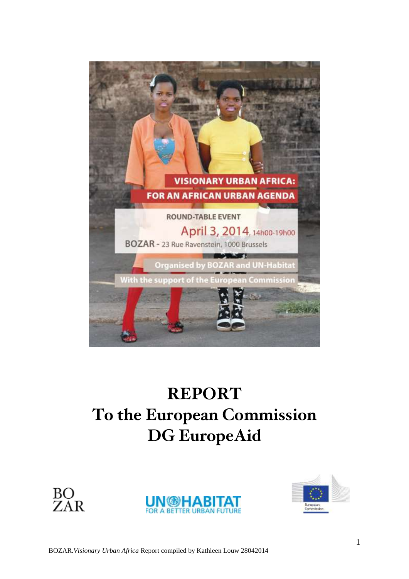

# **REPORT To the European Commission DG EuropeAid**





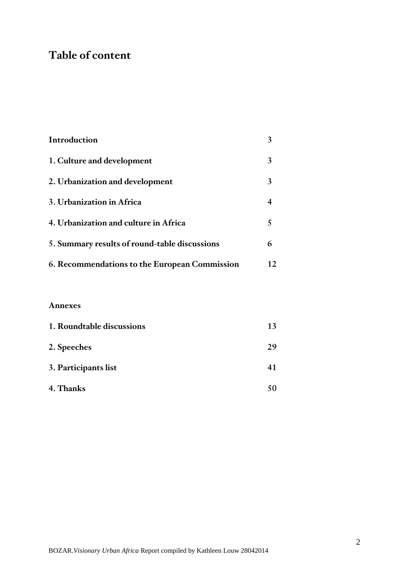# **Table of content**

| Introduction                                  | 3  |
|-----------------------------------------------|----|
| 1. Culture and development                    | 3  |
| 2. Urbanization and development               | 3  |
| 3. Urbanization in Africa                     |    |
| 4. Urbanization and culture in Africa         | 5  |
| 5. Summary results of round-table discussions | 6  |
| 6. Recommendations to the European Commission | 12 |

#### **Annexes**

| 1. Roundtable discussions | 13 |
|---------------------------|----|
| 2. Speeches               | 29 |
| 3. Participants list      | 41 |
| 4. Thanks                 | 50 |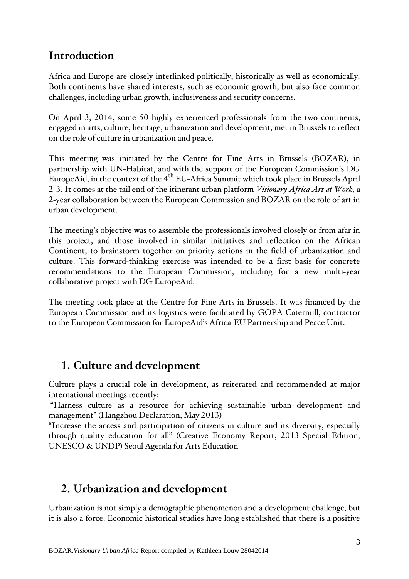# **Introduction**

Africa and Europe are closely interlinked politically, historically as well as economically. Both continents have shared interests, such as economic growth, but also face common challenges, including urban growth, inclusiveness and security concerns.

On April 3, 2014, some 50 highly experienced professionals from the two continents, engaged in arts, culture, heritage, urbanization and development, met in Brussels to reflect on the role of culture in urbanization and peace.

This meeting was initiated by the Centre for Fine Arts in Brussels (BOZAR), in partnership with UN-Habitat, and with the support of the European Commission's DG EuropeAid, in the context of the 4<sup>th</sup> EU-Africa Summit which took place in Brussels April 2-3. It comes at the tail end of the itinerant urban platform *Visionary Africa Art at Work,* a 2-year collaboration between the European Commission and BOZAR on the role of art in urban development.

The meeting's objective was to assemble the professionals involved closely or from afar in this project, and those involved in similar initiatives and reflection on the African Continent, to brainstorm together on priority actions in the field of urbanization and culture. This forward-thinking exercise was intended to be a first basis for concrete recommendations to the European Commission, including for a new multi-year collaborative project with DG EuropeAid.

The meeting took place at the Centre for Fine Arts in Brussels. It was financed by the European Commission and its logistics were facilitated by GOPA-Catermill, contractor to the European Commission for EuropeAid's Africa-EU Partnership and Peace Unit.

## **1. Culture and development**

Culture plays a crucial role in development, as reiterated and recommended at major international meetings recently:

"Harness culture as a resource for achieving sustainable urban development and management" (Hangzhou Declaration, May 2013)

"Increase the access and participation of citizens in culture and its diversity, especially through quality education for all" (Creative Economy Report, 2013 Special Edition, UNESCO & UNDP) Seoul Agenda for Arts Education

## **2. Urbanization and development**

Urbanization is not simply a demographic phenomenon and a development challenge, but it is also a force. Economic historical studies have long established that there is a positive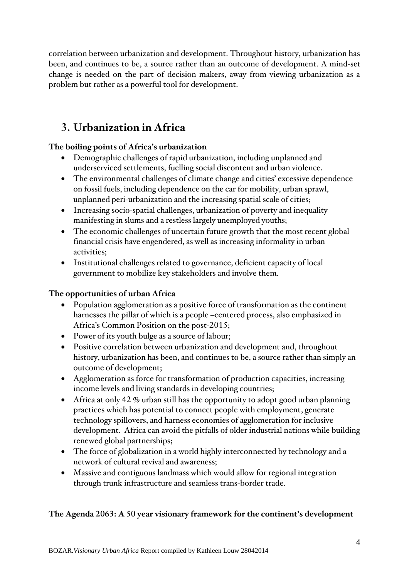correlation between urbanization and development. Throughout history, urbanization has been, and continues to be, a source rather than an outcome of development. A mind-set change is needed on the part of decision makers, away from viewing urbanization as a problem but rather as a powerful tool for development.

# **3. Urbanization in Africa**

### **The boiling points of Africa's urbanization**

- Demographic challenges of rapid urbanization, including unplanned and underserviced settlements, fuelling social discontent and urban violence.
- The environmental challenges of climate change and cities' excessive dependence on fossil fuels, including dependence on the car for mobility, urban sprawl, unplanned peri-urbanization and the increasing spatial scale of cities;
- Increasing socio-spatial challenges, urbanization of poverty and inequality manifesting in slums and a restless largely unemployed youths;
- The economic challenges of uncertain future growth that the most recent global financial crisis have engendered, as well as increasing informality in urban activities;
- Institutional challenges related to governance, deficient capacity of local government to mobilize key stakeholders and involve them.

### **The opportunities of urban Africa**

- Population agglomeration as a positive force of transformation as the continent harnesses the pillar of which is a people –centered process, also emphasized in Africa's Common Position on the post-2015;
- Power of its youth bulge as a source of labour;
- Positive correlation between urbanization and development and, throughout history, urbanization has been, and continues to be, a source rather than simply an outcome of development;
- Agglomeration as force for transformation of production capacities, increasing income levels and living standards in developing countries;
- Africa at only 42 % urban still has the opportunity to adopt good urban planning practices which has potential to connect people with employment, generate technology spillovers, and harness economies of agglomeration for inclusive development. Africa can avoid the pitfalls of older industrial nations while building renewed global partnerships;
- The force of globalization in a world highly interconnected by technology and a network of cultural revival and awareness;
- Massive and contiguous landmass which would allow for regional integration through trunk infrastructure and seamless trans-border trade.

## **The Agenda 2063: A 50 year visionary framework for the continent's development**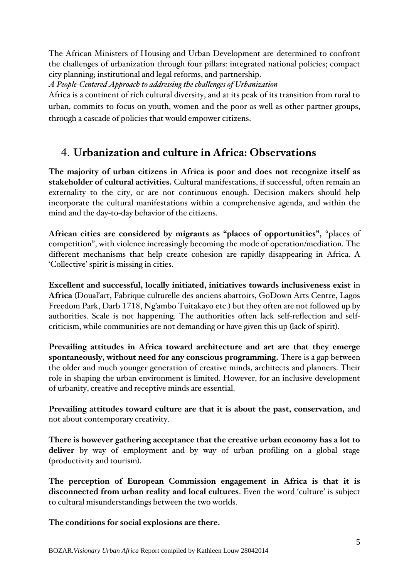The African Ministers of Housing and Urban Development are determined to confront the challenges of urbanization through four pillars: integrated national policies; compact city planning; institutional and legal reforms, and partnership.

*A People-Centered Approach to addressing the challenges of Urbanization*

Africa is a continent of rich cultural diversity, and at its peak of its transition from rural to urban, commits to focus on youth, women and the poor as well as other partner groups, through a cascade of policies that would empower citizens.

# 4. **Urbanization and culture in Africa: Observations**

**The majority of urban citizens in Africa is poor and does not recognize itself as stakeholder of cultural activities.** Cultural manifestations, if successful, often remain an externality to the city, or are not continuous enough. Decision makers should help incorporate the cultural manifestations within a comprehensive agenda, and within the mind and the day-to-day behavior of the citizens.

**African cities are considered by migrants as "places of opportunities",** "places of competition", with violence increasingly becoming the mode of operation/mediation. The different mechanisms that help create cohesion are rapidly disappearing in Africa. A 'Collective' spirit is missing in cities.

**Excellent and successful, locally initiated, initiatives towards inclusiveness exist** in **Africa** (Doual'art, Fabrique culturelle des anciens abattoirs, GoDown Arts Centre, Lagos Freedom Park, Darb 1718, Ng'ambo Tuitakayo etc.) but they often are not followed up by authorities. Scale is not happening. The authorities often lack self-reflection and selfcriticism, while communities are not demanding or have given this up (lack of spirit).

**Prevailing attitudes in Africa toward architecture and art are that they emerge spontaneously, without need for any conscious programming.** There is a gap between the older and much younger generation of creative minds, architects and planners. Their role in shaping the urban environment is limited. However, for an inclusive development of urbanity, creative and receptive minds are essential.

**Prevailing attitudes toward culture are that it is about the past, conservation,** and not about contemporary creativity.

**There is however gathering acceptance that the creative urban economy has a lot to deliver** by way of employment and by way of urban profiling on a global stage (productivity and tourism).

**The perception of European Commission engagement in Africa is that it is disconnected from urban reality and local cultures**. Even the word 'culture' is subject to cultural misunderstandings between the two worlds.

**The conditions for social explosions are there.**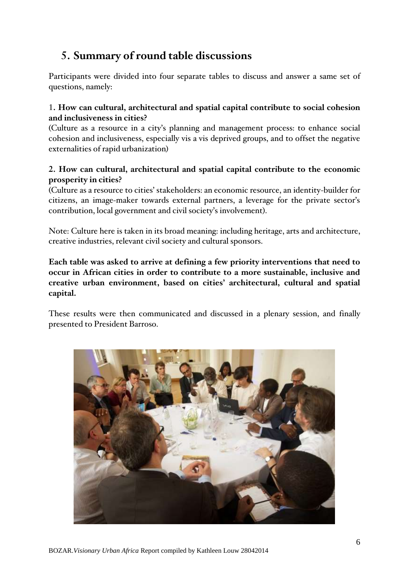# **5. Summary of round table discussions**

Participants were divided into four separate tables to discuss and answer a same set of questions, namely:

### 1**. How can cultural, architectural and spatial capital contribute to social cohesion and inclusiveness in cities?**

(Culture as a resource in a city's planning and management process: to enhance social cohesion and inclusiveness, especially vis a vis deprived groups, and to offset the negative externalities of rapid urbanization)

### **2. How can cultural, architectural and spatial capital contribute to the economic prosperity in cities?**

(Culture as a resource to cities' stakeholders: an economic resource, an identity-builder for citizens, an image-maker towards external partners, a leverage for the private sector's contribution, local government and civil society's involvement).

Note: Culture here is taken in its broad meaning: including heritage, arts and architecture, creative industries, relevant civil society and cultural sponsors.

**Each table was asked to arrive at defining a few priority interventions that need to occur in African cities in order to contribute to a more sustainable, inclusive and creative urban environment, based on cities' architectural, cultural and spatial capital.**

These results were then communicated and discussed in a plenary session, and finally presented to President Barroso.

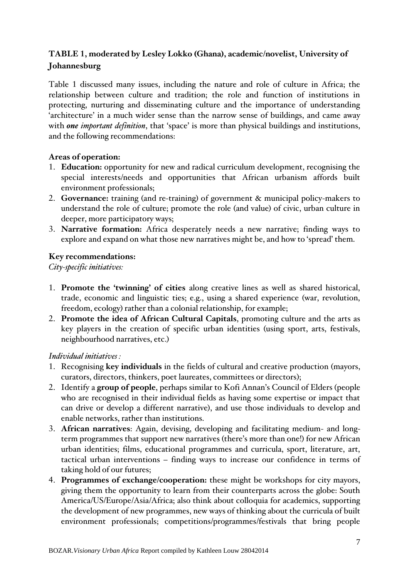## **TABLE 1, moderated by Lesley Lokko (Ghana), academic/novelist, University of Johannesburg**

Table 1 discussed many issues, including the nature and role of culture in Africa; the relationship between culture and tradition; the role and function of institutions in protecting, nurturing and disseminating culture and the importance of understanding 'architecture' in a much wider sense than the narrow sense of buildings, and came away with *one important definition*, that 'space' is more than physical buildings and institutions, and the following recommendations:

### **Areas of operation:**

- 1. **Education:** opportunity for new and radical curriculum development, recognising the special interests/needs and opportunities that African urbanism affords built environment professionals;
- 2. **Governance:** training (and re-training) of government & municipal policy-makers to understand the role of culture; promote the role (and value) of civic, urban culture in deeper, more participatory ways;
- 3. **Narrative formation:** Africa desperately needs a new narrative; finding ways to explore and expand on what those new narratives might be, and how to 'spread' them.

### **Key recommendations:**

*City-specific initiatives:*

- 1. **Promote the 'twinning' of cities** along creative lines as well as shared historical, trade, economic and linguistic ties; e.g., using a shared experience (war, revolution, freedom, ecology) rather than a colonial relationship, for example;
- 2. **Promote the idea of African Cultural Capitals**, promoting culture and the arts as key players in the creation of specific urban identities (using sport, arts, festivals, neighbourhood narratives, etc.)

### *Individual initiatives :*

- 1. Recognising **key individuals** in the fields of cultural and creative production (mayors, curators, directors, thinkers, poet laureates, committees or directors);
- 2. Identify a **group of people**, perhaps similar to Kofi Annan's Council of Elders (people who are recognised in their individual fields as having some expertise or impact that can drive or develop a different narrative), and use those individuals to develop and enable networks, rather than institutions.
- 3. **African narratives**: Again, devising, developing and facilitating medium- and longterm programmes that support new narratives (there's more than one!) for new African urban identities; films, educational programmes and curricula, sport, literature, art, tactical urban interventions – finding ways to increase our confidence in terms of taking hold of our futures;
- 4. **Programmes of exchange/cooperation:** these might be workshops for city mayors, giving them the opportunity to learn from their counterparts across the globe: South America/US/Europe/Asia/Africa; also think about colloquia for academics, supporting the development of new programmes, new ways of thinking about the curricula of built environment professionals; competitions/programmes/festivals that bring people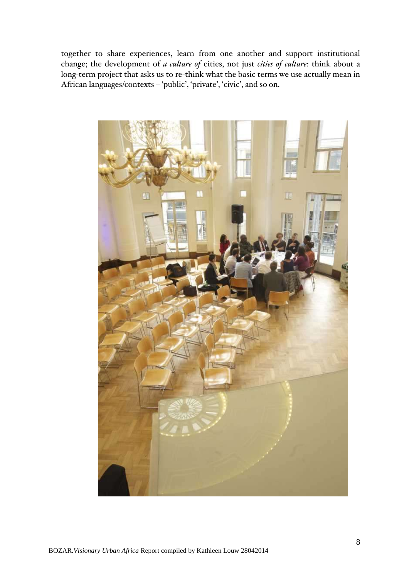together to share experiences, learn from one another and support institutional change; the development of *a culture of* cities, not just *cities of culture*: think about a long-term project that asks us to re-think what the basic terms we use actually mean in African languages/contexts – 'public', 'private', 'civic', and so on.

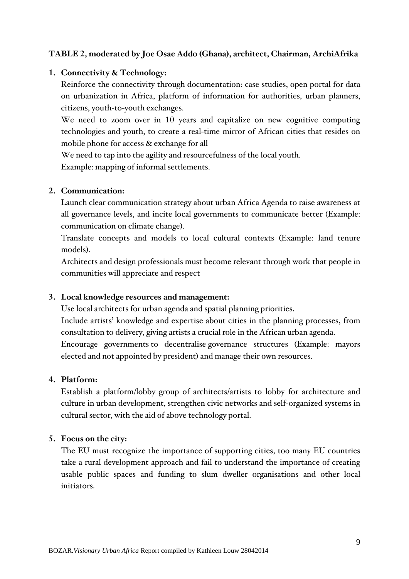### **TABLE 2, moderated by Joe Osae Addo (Ghana), architect, Chairman, ArchiAfrika**

### **1. Connectivity & Technology:**

Reinforce the connectivity through documentation: case studies, open portal for data on urbanization in Africa, platform of information for authorities, urban planners, citizens, youth-to-youth exchanges.

We need to zoom over in 10 years and capitalize on new cognitive computing technologies and youth, to create a real-time mirror of African cities that resides on mobile phone for access & exchange for all

We need to tap into the agility and resourcefulness of the local youth.

Example: mapping of informal settlements.

### **2. Communication:**

Launch clear communication strategy about urban Africa Agenda to raise awareness at all governance levels, and incite local governments to communicate better (Example: communication on climate change).

Translate concepts and models to local cultural contexts (Example: land tenure models).

Architects and design professionals must become relevant through work that people in communities will appreciate and respect

### **3. Local knowledge resources and management:**

Use local architects for urban agenda and spatial planning priorities.

Include artists' knowledge and expertise about cities in the planning processes, from consultation to delivery, giving artists a crucial role in the African urban agenda.

Encourage governments to decentralise governance structures (Example: mayors elected and not appointed by president) and manage their own resources.

#### **4. Platform:**

Establish a platform/lobby group of architects/artists to lobby for architecture and culture in urban development, strengthen civic networks and self-organized systems in cultural sector, with the aid of above technology portal.

### **5. Focus on the city:**

The EU must recognize the importance of supporting cities, too many EU countries take a rural development approach and fail to understand the importance of creating usable public spaces and funding to slum dweller organisations and other local initiators.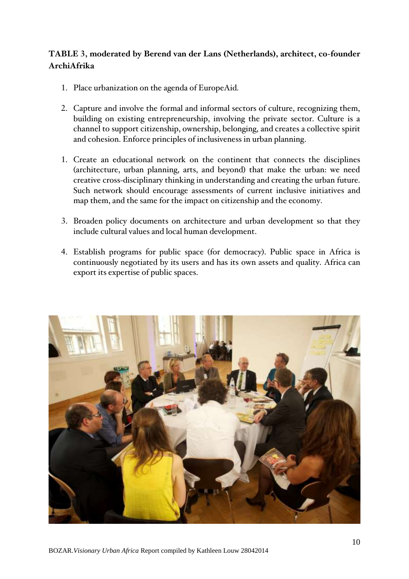## **TABLE 3, moderated by Berend van der Lans (Netherlands), architect, co-founder ArchiAfrika**

- 1. Place urbanization on the agenda of EuropeAid.
- 2. Capture and involve the formal and informal sectors of culture, recognizing them, building on existing entrepreneurship, involving the private sector. Culture is a channel to support citizenship, ownership, belonging, and creates a collective spirit and cohesion. Enforce principles of inclusiveness in urban planning.
- 1. Create an educational network on the continent that connects the disciplines (architecture, urban planning, arts, and beyond) that make the urban: we need creative cross-disciplinary thinking in understanding and creating the urban future. Such network should encourage assessments of current inclusive initiatives and map them, and the same for the impact on citizenship and the economy.
- 3. Broaden policy documents on architecture and urban development so that they include cultural values and local human development.
- 4. Establish programs for public space (for democracy). Public space in Africa is continuously negotiated by its users and has its own assets and quality. Africa can export its expertise of public spaces.

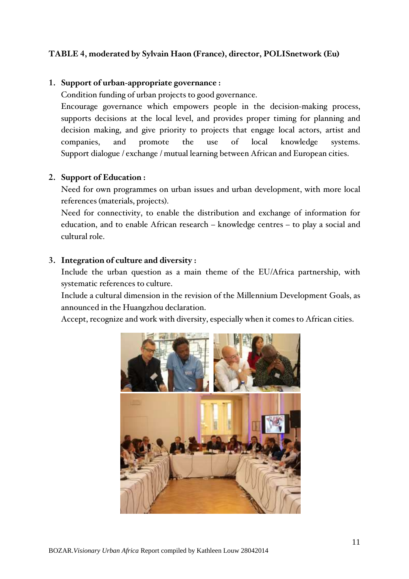### **TABLE 4, moderated by Sylvain Haon (France), director, POLISnetwork (Eu)**

### **1. Support of urban-appropriate governance :**

Condition funding of urban projects to good governance.

Encourage governance which empowers people in the decision-making process, supports decisions at the local level, and provides proper timing for planning and decision making, and give priority to projects that engage local actors, artist and companies, and promote the use of local knowledge systems. Support dialogue / exchange / mutual learning between African and European cities.

### **2. Support of Education :**

Need for own programmes on urban issues and urban development, with more local references (materials, projects).

Need for connectivity, to enable the distribution and exchange of information for education, and to enable African research – knowledge centres – to play a social and cultural role.

#### **3. Integration of culture and diversity :**

Include the urban question as a main theme of the EU/Africa partnership, with systematic references to culture.

Include a cultural dimension in the revision of the Millennium Development Goals, as announced in the Huangzhou declaration.

Accept, recognize and work with diversity, especially when it comes to African cities.

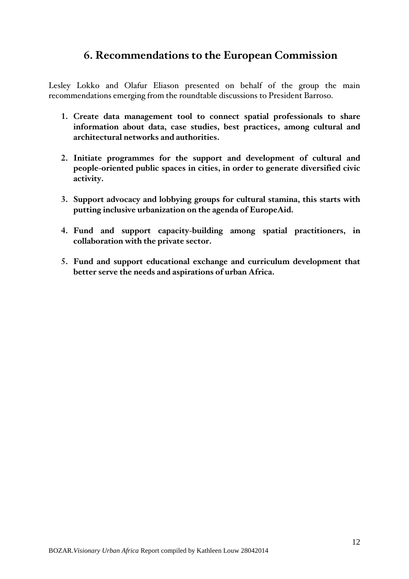## **6. Recommendations to the European Commission**

Lesley Lokko and Olafur Eliason presented on behalf of the group the main recommendations emerging from the roundtable discussions to President Barroso.

- **1. Create data management tool to connect spatial professionals to share information about data, case studies, best practices, among cultural and architectural networks and authorities.**
- **2. Initiate programmes for the support and development of cultural and people-oriented public spaces in cities, in order to generate diversified civic activity.**
- **3. Support advocacy and lobbying groups for cultural stamina, this starts with putting inclusive urbanization on the agenda of EuropeAid.**
- **4. Fund and support capacity-building among spatial practitioners, in collaboration with the private sector.**
- **5. Fund and support educational exchange and curriculum development that better serve the needs and aspirations of urban Africa.**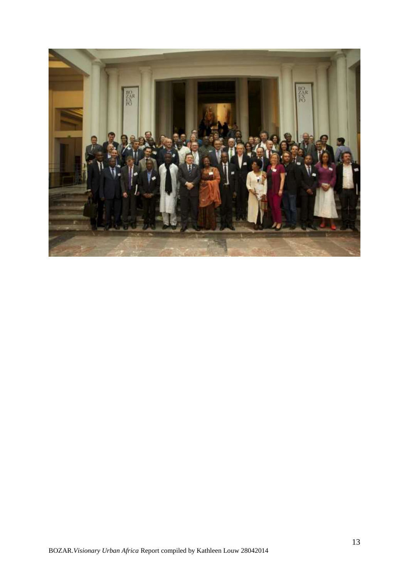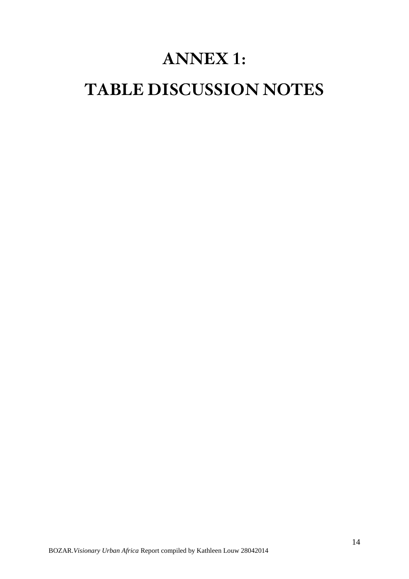# **ANNEX 1:**

# **TABLE DISCUSSION NOTES**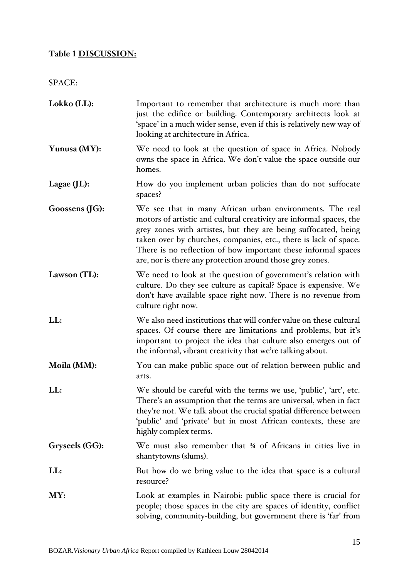## **Table 1 DISCUSSION:**

SPACE:

| Lokko (LL):    | Important to remember that architecture is much more than<br>just the edifice or building. Contemporary architects look at<br>'space' in a much wider sense, even if this is relatively new way of<br>looking at architecture in Africa.                                                                                                                                                            |
|----------------|-----------------------------------------------------------------------------------------------------------------------------------------------------------------------------------------------------------------------------------------------------------------------------------------------------------------------------------------------------------------------------------------------------|
| Yunusa (MY):   | We need to look at the question of space in Africa. Nobody<br>owns the space in Africa. We don't value the space outside our<br>homes.                                                                                                                                                                                                                                                              |
| Lagae $(JL)$ : | How do you implement urban policies than do not suffocate<br>spaces?                                                                                                                                                                                                                                                                                                                                |
| Goossens (JG): | We see that in many African urban environments. The real<br>motors of artistic and cultural creativity are informal spaces, the<br>grey zones with artistes, but they are being suffocated, being<br>taken over by churches, companies, etc., there is lack of space.<br>There is no reflection of how important these informal spaces<br>are, nor is there any protection around those grey zones. |
| Lawson (TL):   | We need to look at the question of government's relation with<br>culture. Do they see culture as capital? Space is expensive. We<br>don't have available space right now. There is no revenue from<br>culture right now.                                                                                                                                                                            |
| LL:            | We also need institutions that will confer value on these cultural<br>spaces. Of course there are limitations and problems, but it's<br>important to project the idea that culture also emerges out of<br>the informal, vibrant creativity that we're talking about.                                                                                                                                |
| Moila (MM):    | You can make public space out of relation between public and<br>arts.                                                                                                                                                                                                                                                                                                                               |
| LL:            | We should be careful with the terms we use, 'public', 'art', etc.<br>There's an assumption that the terms are universal, when in fact<br>they're not. We talk about the crucial spatial difference between<br>'public' and 'private' but in most African contexts, these are<br>highly complex terms.                                                                                               |
| Gryseels (GG): | We must also remember that 34 of Africans in cities live in<br>shantytowns (slums).                                                                                                                                                                                                                                                                                                                 |
| LL:            | But how do we bring value to the idea that space is a cultural<br>resource?                                                                                                                                                                                                                                                                                                                         |
| MY:            | Look at examples in Nairobi: public space there is crucial for<br>people; those spaces in the city are spaces of identity, conflict<br>solving, community-building, but government there is 'far' from                                                                                                                                                                                              |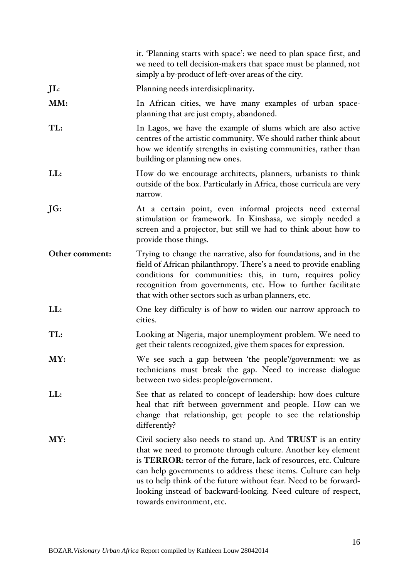|                | it. 'Planning starts with space': we need to plan space first, and<br>we need to tell decision-makers that space must be planned, not<br>simply a by-product of left-over areas of the city.                                                                                                                                                                                                                                        |
|----------------|-------------------------------------------------------------------------------------------------------------------------------------------------------------------------------------------------------------------------------------------------------------------------------------------------------------------------------------------------------------------------------------------------------------------------------------|
| JL:            | Planning needs interdisicplinarity.                                                                                                                                                                                                                                                                                                                                                                                                 |
| MM:            | In African cities, we have many examples of urban space-<br>planning that are just empty, abandoned.                                                                                                                                                                                                                                                                                                                                |
| TL:            | In Lagos, we have the example of slums which are also active<br>centres of the artistic community. We should rather think about<br>how we identify strengths in existing communities, rather than<br>building or planning new ones.                                                                                                                                                                                                 |
| LL:            | How do we encourage architects, planners, urbanists to think<br>outside of the box. Particularly in Africa, those curricula are very<br>narrow.                                                                                                                                                                                                                                                                                     |
| JG:            | At a certain point, even informal projects need external<br>stimulation or framework. In Kinshasa, we simply needed a<br>screen and a projector, but still we had to think about how to<br>provide those things.                                                                                                                                                                                                                    |
| Other comment: | Trying to change the narrative, also for foundations, and in the<br>field of African philanthropy. There's a need to provide enabling<br>conditions for communities: this, in turn, requires policy<br>recognition from governments, etc. How to further facilitate<br>that with other sectors such as urban planners, etc.                                                                                                         |
| LL:            | One key difficulty is of how to widen our narrow approach to<br>cities.                                                                                                                                                                                                                                                                                                                                                             |
| TL:            | Looking at Nigeria, major unemployment problem. We need to<br>get their talents recognized, give them spaces for expression.                                                                                                                                                                                                                                                                                                        |
| MY:            | We see such a gap between 'the people'/government: we as<br>technicians must break the gap. Need to increase dialogue<br>between two sides: people/government.                                                                                                                                                                                                                                                                      |
| LL:            | See that as related to concept of leadership: how does culture<br>heal that rift between government and people. How can we<br>change that relationship, get people to see the relationship<br>differently?                                                                                                                                                                                                                          |
| MY:            | Civil society also needs to stand up. And TRUST is an entity<br>that we need to promote through culture. Another key element<br>is TERROR: terror of the future, lack of resources, etc. Culture<br>can help governments to address these items. Culture can help<br>us to help think of the future without fear. Need to be forward-<br>looking instead of backward-looking. Need culture of respect,<br>towards environment, etc. |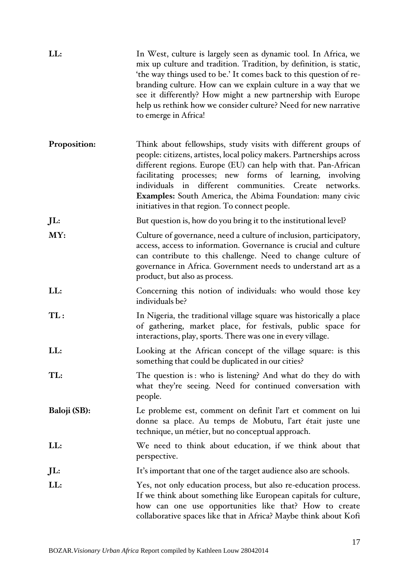| LL:                 | In West, culture is largely seen as dynamic tool. In Africa, we<br>mix up culture and tradition. Tradition, by definition, is static,<br>'the way things used to be.' It comes back to this question of re-<br>branding culture. How can we explain culture in a way that we<br>see it differently? How might a new partnership with Europe<br>help us rethink how we consider culture? Need for new narrative<br>to emerge in Africa!           |
|---------------------|--------------------------------------------------------------------------------------------------------------------------------------------------------------------------------------------------------------------------------------------------------------------------------------------------------------------------------------------------------------------------------------------------------------------------------------------------|
| <b>Proposition:</b> | Think about fellowships, study visits with different groups of<br>people: citizens, artistes, local policy makers. Partnerships across<br>different regions. Europe (EU) can help with that. Pan-African<br>facilitating processes; new forms of learning, involving<br>individuals in different communities. Create<br>networks.<br>Examples: South America, the Abima Foundation: many civic<br>initiatives in that region. To connect people. |
| JL:                 | But question is, how do you bring it to the institutional level?                                                                                                                                                                                                                                                                                                                                                                                 |
| MY:                 | Culture of governance, need a culture of inclusion, participatory,<br>access, access to information. Governance is crucial and culture<br>can contribute to this challenge. Need to change culture of<br>governance in Africa. Government needs to understand art as a<br>product, but also as process.                                                                                                                                          |
| LL:                 | Concerning this notion of individuals: who would those key<br>individuals be?                                                                                                                                                                                                                                                                                                                                                                    |
| TL:                 | In Nigeria, the traditional village square was historically a place<br>of gathering, market place, for festivals, public space for<br>interactions, play, sports. There was one in every village.                                                                                                                                                                                                                                                |
| LL:                 | Looking at the African concept of the village square: is this<br>something that could be duplicated in our cities?                                                                                                                                                                                                                                                                                                                               |
| TL:                 | The question is: who is listening? And what do they do with<br>what they're seeing. Need for continued conversation with<br>people.                                                                                                                                                                                                                                                                                                              |
| Baloji (SB):        | Le probleme est, comment on definit l'art et comment on lui<br>donne sa place. Au temps de Mobutu, l'art était juste une<br>technique, un métier, but no conceptual approach.                                                                                                                                                                                                                                                                    |
| LL:                 | We need to think about education, if we think about that<br>perspective.                                                                                                                                                                                                                                                                                                                                                                         |
| JL:                 | It's important that one of the target audience also are schools.                                                                                                                                                                                                                                                                                                                                                                                 |
| LL:                 | Yes, not only education process, but also re-education process.<br>If we think about something like European capitals for culture,<br>how can one use opportunities like that? How to create<br>collaborative spaces like that in Africa? Maybe think about Kofi                                                                                                                                                                                 |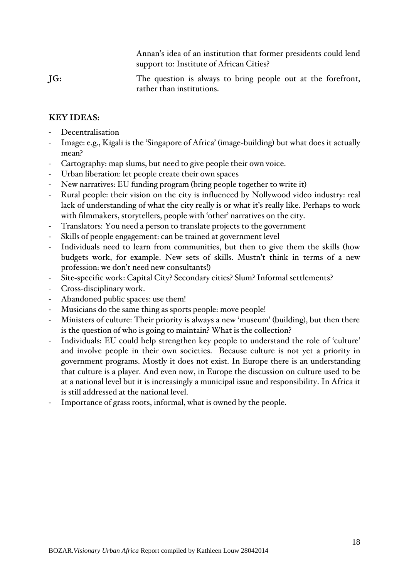|                | Annan's idea of an institution that former presidents could lend<br>support to: Institute of African Cities? |
|----------------|--------------------------------------------------------------------------------------------------------------|
| $\mathbf{IG:}$ | The question is always to bring people out at the forefront,<br>rather than institutions.                    |

### **KEY IDEAS:**

- **Decentralisation**
- Image: e.g., Kigali is the 'Singapore of Africa' (image-building) but what does it actually mean?
- Cartography: map slums, but need to give people their own voice.
- Urban liberation: let people create their own spaces
- New narratives: EU funding program (bring people together to write it)
- Rural people: their vision on the city is influenced by Nollywood video industry: real lack of understanding of what the city really is or what it's really like. Perhaps to work with filmmakers, storytellers, people with 'other' narratives on the city.
- Translators: You need a person to translate projects to the government
- Skills of people engagement: can be trained at government level
- Individuals need to learn from communities, but then to give them the skills (how budgets work, for example. New sets of skills. Mustn't think in terms of a new profession: we don't need new consultants!)
- Site-specific work: Capital City? Secondary cities? Slum? Informal settlements?
- Cross-disciplinary work.
- Abandoned public spaces: use them!
- Musicians do the same thing as sports people: move people!
- Ministers of culture: Their priority is always a new 'museum' (building), but then there is the question of who is going to maintain? What is the collection?
- Individuals: EU could help strengthen key people to understand the role of 'culture' and involve people in their own societies. Because culture is not yet a priority in government programs. Mostly it does not exist. In Europe there is an understanding that culture is a player. And even now, in Europe the discussion on culture used to be at a national level but it is increasingly a municipal issue and responsibility. In Africa it is still addressed at the national level.
- Importance of grass roots, informal, what is owned by the people.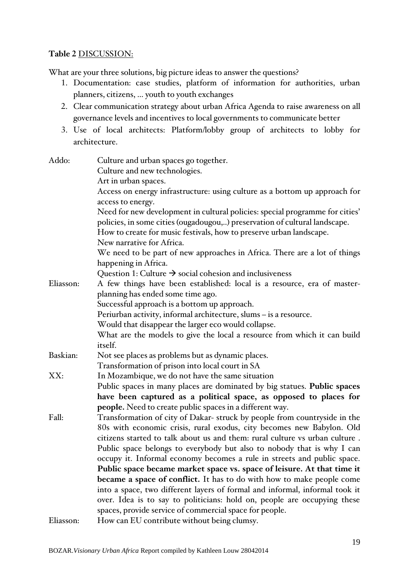### **Table 2** DISCUSSION:

What are your three solutions, big picture ideas to answer the questions?

- 1. Documentation: case studies, platform of information for authorities, urban planners, citizens, … youth to youth exchanges
- 2. Clear communication strategy about urban Africa Agenda to raise awareness on all governance levels and incentives to local governments to communicate better
- 3. Use of local architects: Platform/lobby group of architects to lobby for architecture.

| Addo:     | Culture and urban spaces go together.<br>Culture and new technologies.<br>Art in urban spaces.                                                                                                                                    |
|-----------|-----------------------------------------------------------------------------------------------------------------------------------------------------------------------------------------------------------------------------------|
|           | Access on energy infrastructure: using culture as a bottom up approach for<br>access to energy.                                                                                                                                   |
|           | Need for new development in cultural policies: special programme for cities'<br>policies, in some cities (ougadougou,) preservation of cultural landscape.<br>How to create for music festivals, how to preserve urban landscape. |
|           | New narrative for Africa.                                                                                                                                                                                                         |
|           | We need to be part of new approaches in Africa. There are a lot of things<br>happening in Africa.                                                                                                                                 |
|           | Question 1: Culture $\rightarrow$ social cohesion and inclusiveness                                                                                                                                                               |
| Eliasson: | A few things have been established: local is a resource, era of master-                                                                                                                                                           |
|           | planning has ended some time ago.                                                                                                                                                                                                 |
|           | Successful approach is a bottom up approach.                                                                                                                                                                                      |
|           | Periurban activity, informal architecture, slums - is a resource.                                                                                                                                                                 |
|           | Would that disappear the larger eco would collapse.                                                                                                                                                                               |
|           | What are the models to give the local a resource from which it can build<br>itself.                                                                                                                                               |
| Baskian:  | Not see places as problems but as dynamic places.                                                                                                                                                                                 |
|           | Transformation of prison into local court in SA                                                                                                                                                                                   |
| XX:       | In Mozambique, we do not have the same situation                                                                                                                                                                                  |
|           | Public spaces in many places are dominated by big statues. Public spaces                                                                                                                                                          |
|           | have been captured as a political space, as opposed to places for                                                                                                                                                                 |
|           | people. Need to create public spaces in a different way.                                                                                                                                                                          |
| Fall:     | Transformation of city of Dakar- struck by people from countryside in the<br>80s with economic crisis, rural exodus, city becomes new Babylon. Old<br>citizens started to talk about us and them: rural culture vs urban culture. |
|           | Public space belongs to everybody but also to nobody that is why I can                                                                                                                                                            |
|           | occupy it. Informal economy becomes a rule in streets and public space.                                                                                                                                                           |
|           | Public space became market space vs. space of leisure. At that time it                                                                                                                                                            |
|           | became a space of conflict. It has to do with how to make people come                                                                                                                                                             |
|           | into a space, two different layers of formal and informal, informal took it                                                                                                                                                       |
|           | over. Idea is to say to politicians: hold on, people are occupying these                                                                                                                                                          |
|           | spaces, provide service of commercial space for people.                                                                                                                                                                           |
| Eliasson: | How can EU contribute without being clumsy.                                                                                                                                                                                       |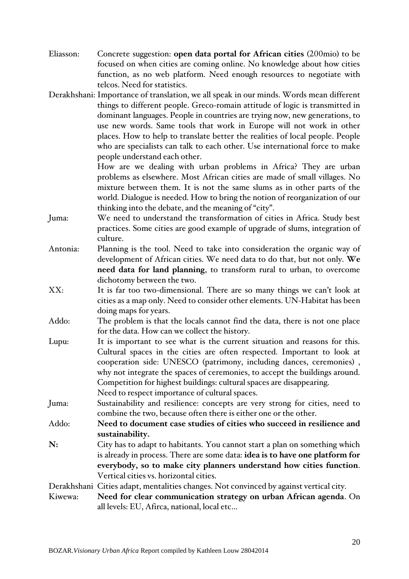- Eliasson: Concrete suggestion: **open data portal for African cities** (200mio) to be focused on when cities are coming online. No knowledge about how cities function, as no web platform. Need enough resources to negotiate with telcos. Need for statistics.
- Derakhshani: Importance of translation, we all speak in our minds. Words mean different things to different people. Greco-romain attitude of logic is transmitted in dominant languages. People in countries are trying now, new generations, to use new words. Same tools that work in Europe will not work in other places. How to help to translate better the realities of local people. People who are specialists can talk to each other. Use international force to make people understand each other.

How are we dealing with urban problems in Africa? They are urban problems as elsewhere. Most African cities are made of small villages. No mixture between them. It is not the same slums as in other parts of the world. Dialogue is needed. How to bring the notion of reorganization of our thinking into the debate, and the meaning of "city".

- Juma: We need to understand the transformation of cities in Africa. Study best practices. Some cities are good example of upgrade of slums, integration of culture.
- Antonia: Planning is the tool. Need to take into consideration the organic way of development of African cities. We need data to do that, but not only. **We need data for land planning**, to transform rural to urban, to overcome dichotomy between the two.
- XX: It is far too two-dimensional. There are so many things we can't look at cities as a map only. Need to consider other elements. UN-Habitat has been doing maps for years.
- Addo: The problem is that the locals cannot find the data, there is not one place for the data. How can we collect the history.
- Lupu: It is important to see what is the current situation and reasons for this. Cultural spaces in the cities are often respected. Important to look at cooperation side: UNESCO (patrimony, including dances, ceremonies) , why not integrate the spaces of ceremonies, to accept the buildings around. Competition for highest buildings: cultural spaces are disappearing.

Need to respect importance of cultural spaces. Juma: Sustainability and resilience: concepts are very strong for cities, need to

combine the two, because often there is either one or the other.

- Addo: **Need to document case studies of cities who succeed in resilience and sustainability.**
- **N:** City has to adapt to habitants. You cannot start a plan on something which is already in process. There are some data: **idea is to have one platform for everybody, so to make city planners understand how cities function**. Vertical cities vs. horizontal cities.

Derakhshani Cities adapt, mentalities changes. Not convinced by against vertical city.

Kiwewa: **Need for clear communication strategy on urban African agenda**. On all levels: EU, Afirca, national, local etc…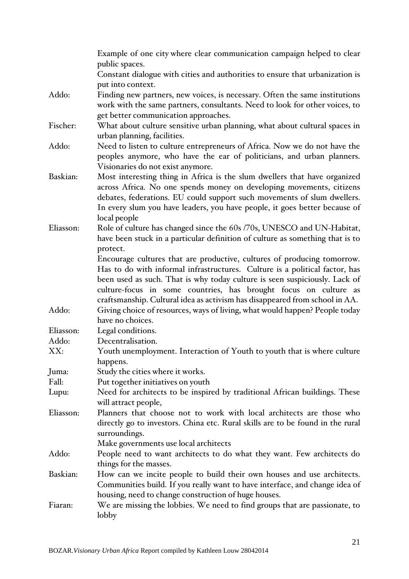|           | Example of one city where clear communication campaign helped to clear<br>public spaces.                                                                                                                                                                                                                                                                                                |
|-----------|-----------------------------------------------------------------------------------------------------------------------------------------------------------------------------------------------------------------------------------------------------------------------------------------------------------------------------------------------------------------------------------------|
|           | Constant dialogue with cities and authorities to ensure that urbanization is<br>put into context.                                                                                                                                                                                                                                                                                       |
| Addo:     | Finding new partners, new voices, is necessary. Often the same institutions<br>work with the same partners, consultants. Need to look for other voices, to                                                                                                                                                                                                                              |
|           | get better communication approaches.                                                                                                                                                                                                                                                                                                                                                    |
| Fischer:  | What about culture sensitive urban planning, what about cultural spaces in<br>urban planning, facilities.                                                                                                                                                                                                                                                                               |
| Addo:     | Need to listen to culture entrepreneurs of Africa. Now we do not have the<br>peoples anymore, who have the ear of politicians, and urban planners.<br>Visionaries do not exist anymore.                                                                                                                                                                                                 |
| Baskian:  | Most interesting thing in Africa is the slum dwellers that have organized<br>across Africa. No one spends money on developing movements, citizens<br>debates, federations. EU could support such movements of slum dwellers.<br>In every slum you have leaders, you have people, it goes better because of<br>local people                                                              |
| Eliasson: | Role of culture has changed since the 60s /70s, UNESCO and UN-Habitat,<br>have been stuck in a particular definition of culture as something that is to<br>protect.                                                                                                                                                                                                                     |
|           | Encourage cultures that are productive, cultures of producing tomorrow.<br>Has to do with informal infrastructures. Culture is a political factor, has<br>been used as such. That is why today culture is seen suspiciously. Lack of<br>culture-focus in some countries, has brought focus on culture as<br>craftsmanship. Cultural idea as activism has disappeared from school in AA. |
| Addo:     | Giving choice of resources, ways of living, what would happen? People today<br>have no choices.                                                                                                                                                                                                                                                                                         |
| Eliasson: | Legal conditions.                                                                                                                                                                                                                                                                                                                                                                       |
| Addo:     | Decentralisation.                                                                                                                                                                                                                                                                                                                                                                       |
| XX:       | Youth unemployment. Interaction of Youth to youth that is where culture<br>happens.                                                                                                                                                                                                                                                                                                     |
| Juma:     | Study the cities where it works.                                                                                                                                                                                                                                                                                                                                                        |
| Fall:     | Put together initiatives on youth                                                                                                                                                                                                                                                                                                                                                       |
| Lupu:     | Need for architects to be inspired by traditional African buildings. These<br>will attract people,                                                                                                                                                                                                                                                                                      |
| Eliasson: | Planners that choose not to work with local architects are those who<br>directly go to investors. China etc. Rural skills are to be found in the rural<br>surroundings.<br>Make governments use local architects                                                                                                                                                                        |
| Addo:     | People need to want architects to do what they want. Few architects do<br>things for the masses.                                                                                                                                                                                                                                                                                        |
| Baskian:  | How can we incite people to build their own houses and use architects.<br>Communities build. If you really want to have interface, and change idea of<br>housing, need to change construction of huge houses.                                                                                                                                                                           |
| Fiaran:   | We are missing the lobbies. We need to find groups that are passionate, to<br>lobby                                                                                                                                                                                                                                                                                                     |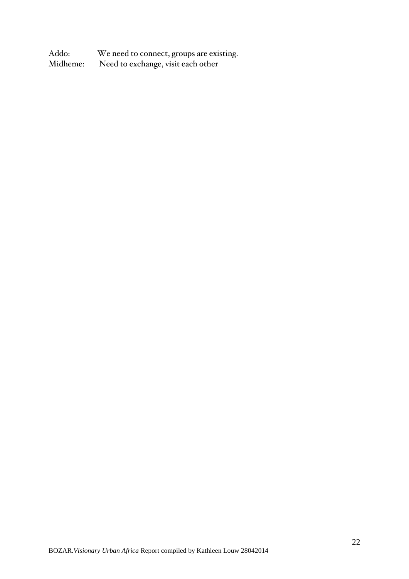Addo: We need to connect, groups are existing. Midheme: Need to exchange, visit each other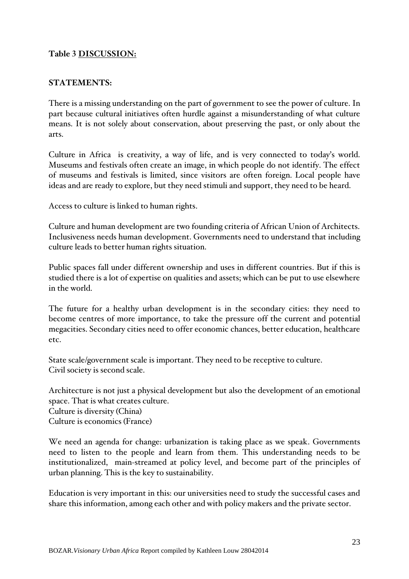### **Table 3 DISCUSSION:**

### **STATEMENTS:**

There is a missing understanding on the part of government to see the power of culture. In part because cultural initiatives often hurdle against a misunderstanding of what culture means. It is not solely about conservation, about preserving the past, or only about the arts.

Culture in Africa is creativity, a way of life, and is very connected to today's world. Museums and festivals often create an image, in which people do not identify. The effect of museums and festivals is limited, since visitors are often foreign. Local people have ideas and are ready to explore, but they need stimuli and support, they need to be heard.

Access to culture is linked to human rights.

Culture and human development are two founding criteria of African Union of Architects. Inclusiveness needs human development. Governments need to understand that including culture leads to better human rights situation.

Public spaces fall under different ownership and uses in different countries. But if this is studied there is a lot of expertise on qualities and assets; which can be put to use elsewhere in the world.

The future for a healthy urban development is in the secondary cities: they need to become centres of more importance, to take the pressure off the current and potential megacities. Secondary cities need to offer economic chances, better education, healthcare etc.

State scale/government scale is important. They need to be receptive to culture. Civil society is second scale.

Architecture is not just a physical development but also the development of an emotional space. That is what creates culture. Culture is diversity (China) Culture is economics (France)

We need an agenda for change: urbanization is taking place as we speak. Governments need to listen to the people and learn from them. This understanding needs to be institutionalized, main-streamed at policy level, and become part of the principles of urban planning. This is the key to sustainability.

Education is very important in this: our universities need to study the successful cases and share this information, among each other and with policy makers and the private sector.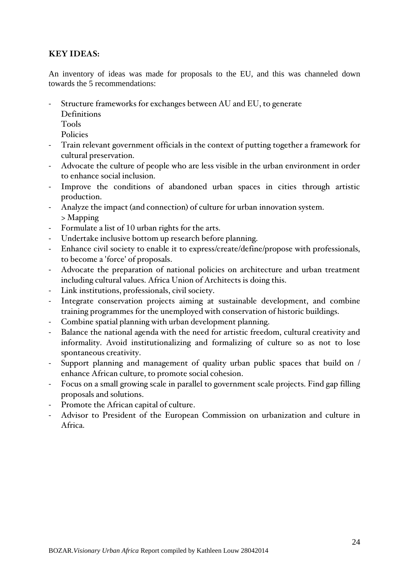### **KEY IDEAS:**

An inventory of ideas was made for proposals to the EU, and this was channeled down towards the 5 recommendations:

- Structure frameworks for exchanges between AU and EU, to generate
	- **Definitions** 
		- Tools
	- Policies
- Train relevant government officials in the context of putting together a framework for cultural preservation.
- Advocate the culture of people who are less visible in the urban environment in order to enhance social inclusion.
- Improve the conditions of abandoned urban spaces in cities through artistic production.
- Analyze the impact (and connection) of culture for urban innovation system. > Mapping
- Formulate a list of 10 urban rights for the arts.
- Undertake inclusive bottom up research before planning.
- Enhance civil society to enable it to express/create/define/propose with professionals, to become a 'force' of proposals.
- Advocate the preparation of national policies on architecture and urban treatment including cultural values. Africa Union of Architects is doing this.
- Link institutions, professionals, civil society.
- Integrate conservation projects aiming at sustainable development, and combine training programmes for the unemployed with conservation of historic buildings.
- Combine spatial planning with urban development planning.
- Balance the national agenda with the need for artistic freedom, cultural creativity and informality. Avoid institutionalizing and formalizing of culture so as not to lose spontaneous creativity.
- Support planning and management of quality urban public spaces that build on / enhance African culture, to promote social cohesion.
- Focus on a small growing scale in parallel to government scale projects. Find gap filling proposals and solutions.
- Promote the African capital of culture.
- Advisor to President of the European Commission on urbanization and culture in Africa.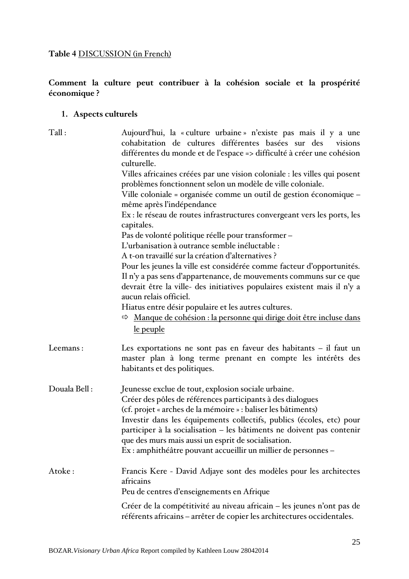### **Table 4** DISCUSSION (in French)

### **Comment la culture peut contribuer à la cohésion sociale et la prospérité économique ?**

## **1. Aspects culturels**

| Tall:        | Aujourd'hui, la « culture urbaine » n'existe pas mais il y a une<br>cohabitation de cultures différentes basées sur des<br>visions<br>différentes du monde et de l'espace => difficulté à créer une cohésion<br>culturelle.<br>Villes africaines créées par une vision coloniale : les villes qui posent<br>problèmes fonctionnent selon un modèle de ville coloniale.<br>Ville coloniale = organisée comme un outil de gestion économique -<br>même après l'indépendance<br>Ex : le réseau de routes infrastructures convergeant vers les ports, les<br>capitales.<br>Pas de volonté politique réelle pour transformer -<br>L'urbanisation à outrance semble inéluctable :<br>A t-on travaillé sur la création d'alternatives ?<br>Pour les jeunes la ville est considérée comme facteur d'opportunités.<br>Il n'y a pas sens d'appartenance, de mouvements communs sur ce que<br>devrait être la ville- des initiatives populaires existent mais il n'y a<br>aucun relais officiel.<br>Hiatus entre désir populaire et les autres cultures.<br>$\Rightarrow$ Manque de cohésion : la personne qui dirige doit être incluse dans<br>le peuple |
|--------------|------------------------------------------------------------------------------------------------------------------------------------------------------------------------------------------------------------------------------------------------------------------------------------------------------------------------------------------------------------------------------------------------------------------------------------------------------------------------------------------------------------------------------------------------------------------------------------------------------------------------------------------------------------------------------------------------------------------------------------------------------------------------------------------------------------------------------------------------------------------------------------------------------------------------------------------------------------------------------------------------------------------------------------------------------------------------------------------------------------------------------------------------|
| Leemans:     | Les exportations ne sont pas en faveur des habitants - il faut un<br>master plan à long terme prenant en compte les intérêts des<br>habitants et des politiques.                                                                                                                                                                                                                                                                                                                                                                                                                                                                                                                                                                                                                                                                                                                                                                                                                                                                                                                                                                               |
| Douala Bell: | Jeunesse exclue de tout, explosion sociale urbaine.<br>Créer des pôles de références participants à des dialogues<br>(cf. projet « arches de la mémoire » : baliser les bâtiments)<br>Investir dans les équipements collectifs, publics (écoles, etc) pour<br>participer à la socialisation – les bâtiments ne doivent pas contenir<br>que des murs mais aussi un esprit de socialisation.<br>Ex : amphithéâtre pouvant accueillir un millier de personnes -                                                                                                                                                                                                                                                                                                                                                                                                                                                                                                                                                                                                                                                                                   |
| Atoke:       | Francis Kere - David Adjaye sont des modèles pour les architectes<br>africains<br>Peu de centres d'enseignements en Afrique<br>Créer de la compétitivité au niveau africain - les jeunes n'ont pas de<br>référents africains - arrêter de copier les architectures occidentales.                                                                                                                                                                                                                                                                                                                                                                                                                                                                                                                                                                                                                                                                                                                                                                                                                                                               |
|              |                                                                                                                                                                                                                                                                                                                                                                                                                                                                                                                                                                                                                                                                                                                                                                                                                                                                                                                                                                                                                                                                                                                                                |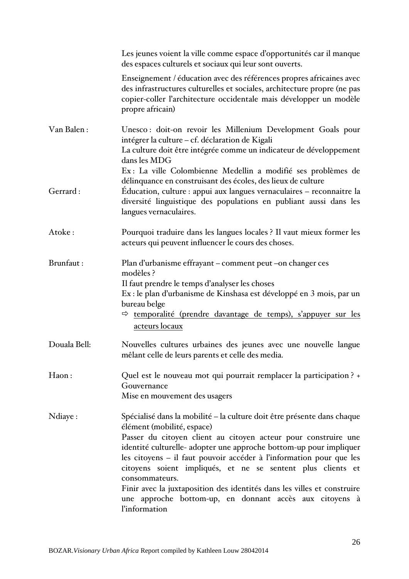|              | Les jeunes voient la ville comme espace d'opportunités car il manque<br>des espaces culturels et sociaux qui leur sont ouverts.                                                                                                                                                                                                                                                                                                                                                                                                                              |
|--------------|--------------------------------------------------------------------------------------------------------------------------------------------------------------------------------------------------------------------------------------------------------------------------------------------------------------------------------------------------------------------------------------------------------------------------------------------------------------------------------------------------------------------------------------------------------------|
|              | Enseignement / éducation avec des références propres africaines avec<br>des infrastructures culturelles et sociales, architecture propre (ne pas<br>copier-coller l'architecture occidentale mais développer un modèle<br>propre africain)                                                                                                                                                                                                                                                                                                                   |
| Van Balen:   | Unesco: doit-on revoir les Millenium Development Goals pour<br>intégrer la culture - cf. déclaration de Kigali<br>La culture doit être intégrée comme un indicateur de développement<br>dans les MDG<br>Ex: La ville Colombienne Medellin a modifié ses problèmes de                                                                                                                                                                                                                                                                                         |
| Gerrard:     | délinquance en construisant des écoles, des lieux de culture<br>Éducation, culture : appui aux langues vernaculaires - reconnaitre la<br>diversité linguistique des populations en publiant aussi dans les<br>langues vernaculaires.                                                                                                                                                                                                                                                                                                                         |
| Atoke:       | Pourquoi traduire dans les langues locales ? Il vaut mieux former les<br>acteurs qui peuvent influencer le cours des choses.                                                                                                                                                                                                                                                                                                                                                                                                                                 |
| Brunfaut:    | Plan d'urbanisme effrayant – comment peut –on changer ces<br>modèles ?<br>Il faut prendre le temps d'analyser les choses<br>Ex : le plan d'urbanisme de Kinshasa est développé en 3 mois, par un<br>bureau belge<br>⇒ temporalité (prendre davantage de temps), s'appuyer sur les<br>acteurs locaux                                                                                                                                                                                                                                                          |
| Douala Bell: | Nouvelles cultures urbaines des jeunes avec une nouvelle langue<br>mêlant celle de leurs parents et celle des media.                                                                                                                                                                                                                                                                                                                                                                                                                                         |
| Haon:        | Quel est le nouveau mot qui pourrait remplacer la participation? +<br>Gouvernance<br>Mise en mouvement des usagers                                                                                                                                                                                                                                                                                                                                                                                                                                           |
| Ndiaye:      | Spécialisé dans la mobilité – la culture doit être présente dans chaque<br>élément (mobilité, espace)<br>Passer du citoyen client au citoyen acteur pour construire une<br>identité culturelle- adopter une approche bottom-up pour impliquer<br>les citoyens - il faut pouvoir accéder à l'information pour que les<br>citoyens soient impliqués, et ne se sentent plus clients et<br>consommateurs.<br>Finir avec la juxtaposition des identités dans les villes et construire<br>une approche bottom-up, en donnant accès aux citoyens à<br>l'information |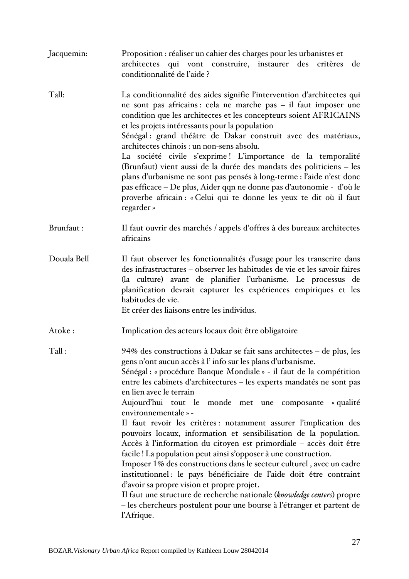| Jacquemin:  | Proposition : réaliser un cahier des charges pour les urbanistes et<br>architectes qui vont construire, instaurer des critères<br>de<br>conditionnalité de l'aide?                                                                                                                                                                                                                                                                                                                                                                                                                                                                                                                                                                                                                                                                                                                                                                                                                                                                                    |
|-------------|-------------------------------------------------------------------------------------------------------------------------------------------------------------------------------------------------------------------------------------------------------------------------------------------------------------------------------------------------------------------------------------------------------------------------------------------------------------------------------------------------------------------------------------------------------------------------------------------------------------------------------------------------------------------------------------------------------------------------------------------------------------------------------------------------------------------------------------------------------------------------------------------------------------------------------------------------------------------------------------------------------------------------------------------------------|
| Tall:       | La conditionnalité des aides signifie l'intervention d'architectes qui<br>ne sont pas africains: cela ne marche pas - il faut imposer une<br>condition que les architectes et les concepteurs soient AFRICAINS<br>et les projets intéressants pour la population<br>Sénégal : grand théâtre de Dakar construit avec des matériaux,<br>architectes chinois : un non-sens absolu.<br>La société civile s'exprime! L'importance de la temporalité<br>(Brunfaut) vient aussi de la durée des mandats des politiciens - les<br>plans d'urbanisme ne sont pas pensés à long-terme : l'aide n'est donc<br>pas efficace - De plus, Aider qqn ne donne pas d'autonomie - d'où le<br>proverbe africain : « Celui qui te donne les yeux te dit où il faut<br>regarder »                                                                                                                                                                                                                                                                                          |
| Brunfaut:   | Il faut ouvrir des marchés / appels d'offres à des bureaux architectes<br>africains                                                                                                                                                                                                                                                                                                                                                                                                                                                                                                                                                                                                                                                                                                                                                                                                                                                                                                                                                                   |
| Douala Bell | Il faut observer les fonctionnalités d'usage pour les transcrire dans<br>des infrastructures – observer les habitudes de vie et les savoir faires<br>(la culture) avant de planifier l'urbanisme. Le processus de<br>planification devrait capturer les expériences empiriques et les<br>habitudes de vie.<br>Et créer des liaisons entre les individus.                                                                                                                                                                                                                                                                                                                                                                                                                                                                                                                                                                                                                                                                                              |
| Atoke:      | Implication des acteurs locaux doit être obligatoire                                                                                                                                                                                                                                                                                                                                                                                                                                                                                                                                                                                                                                                                                                                                                                                                                                                                                                                                                                                                  |
| Tall:       | 94% des constructions à Dakar se fait sans architectes - de plus, les<br>gens n'ont aucun accès à l'info sur les plans d'urbanisme.<br>Sénégal : « procédure Banque Mondiale » - il faut de la compétition<br>entre les cabinets d'architectures - les experts mandatés ne sont pas<br>en lien avec le terrain<br>Aujourd'hui tout le monde met une composante<br>« qualité<br>environnementale » -<br>Il faut revoir les critères : notamment assurer l'implication des<br>pouvoirs locaux, information et sensibilisation de la population.<br>Accès à l'information du citoyen est primordiale - accès doit être<br>facile ! La population peut ainsi s'opposer à une construction.<br>Imposer 1% des constructions dans le secteur culturel, avec un cadre<br>institutionnel : le pays bénéficiaire de l'aide doit être contraint<br>d'avoir sa propre vision et propre projet.<br>Il faut une structure de recherche nationale (knowledge centers) propre<br>- les chercheurs postulent pour une bourse à l'étranger et partent de<br>l'Afrique. |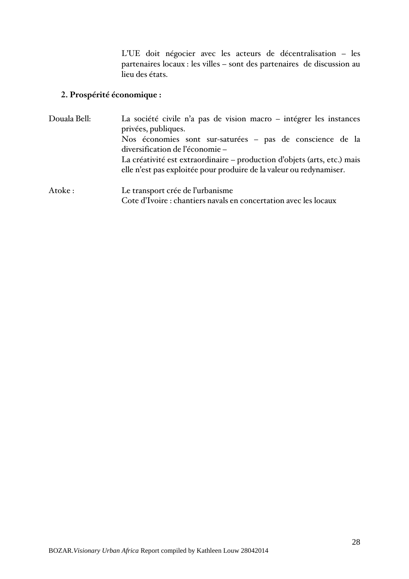L'UE doit négocier avec les acteurs de décentralisation – les partenaires locaux : les villes – sont des partenaires de discussion au lieu des états.

### **2. Prospérité économique :**

| Douala Bell: | La société civile n'a pas de vision macro – intégrer les instances<br>privées, publiques.<br>Nos économies sont sur-saturées - pas de conscience de la<br>diversification de l'économie -<br>La créativité est extraordinaire – production d'objets (arts, etc.) mais<br>elle n'est pas exploitée pour produire de la valeur ou redynamiser. |
|--------------|----------------------------------------------------------------------------------------------------------------------------------------------------------------------------------------------------------------------------------------------------------------------------------------------------------------------------------------------|
| Atoke:       | Le transport crée de l'urbanisme<br>Cote d'Ivoire : chantiers navals en concertation avec les locaux                                                                                                                                                                                                                                         |

BOZAR.*Visionary Urban Africa* Report compiled by Kathleen Louw 28042014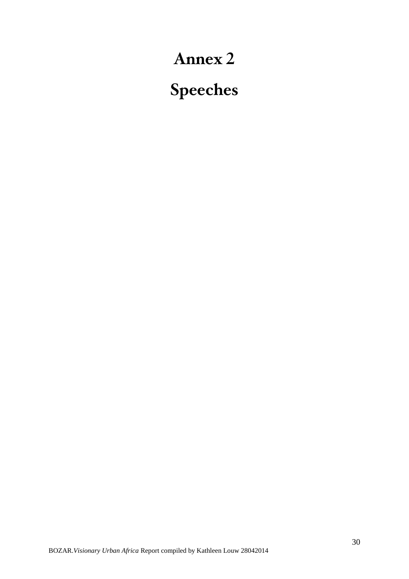# **Annex 2**

# **Speeches**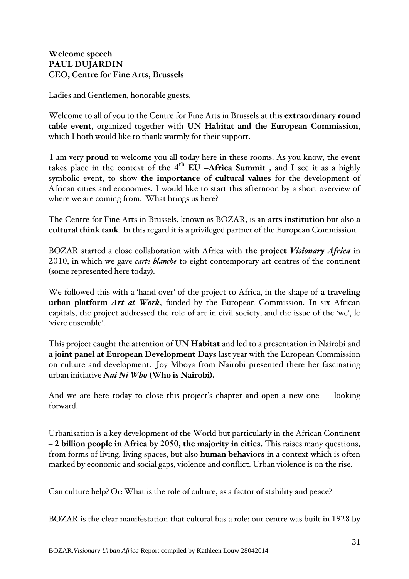### **Welcome speech PAUL DUJARDIN CEO, Centre for Fine Arts, Brussels**

Ladies and Gentlemen, honorable guests,

Welcome to all of you to the Centre for Fine Arts in Brussels at this **extraordinary round table event**, organized together with **UN Habitat and the European Commission**, which I both would like to thank warmly for their support.

I am very **proud** to welcome you all today here in these rooms. As you know, the event takes place in the context of **the 4th EU –Africa Summit** , and I see it as a highly symbolic event, to show **the importance of cultural values** for the development of African cities and economies. I would like to start this afternoon by a short overview of where we are coming from. What brings us here?

The Centre for Fine Arts in Brussels, known as BOZAR, is an **arts institution** but also **a cultural think tank**. In this regard it is a privileged partner of the European Commission.

BOZAR started a close collaboration with Africa with **the project** *Visionary Africa* in 2010, in which we gave *carte blanche* to eight contemporary art centres of the continent (some represented here today).

We followed this with a 'hand over' of the project to Africa, in the shape of **a traveling urban platform** *Art at Work*, funded by the European Commission. In six African capitals, the project addressed the role of art in civil society, and the issue of the 'we', le 'vivre ensemble'.

This project caught the attention of **UN Habitat** and led to a presentation in Nairobi and **a joint panel at European Development Days** last year with the European Commission on culture and development. Joy Mboya from Nairobi presented there her fascinating urban initiative *Nai Ni Who* **(Who is Nairobi).**

And we are here today to close this project's chapter and open a new one --- looking forward.

Urbanisation is a key development of the World but particularly in the African Continent – **2 billion people in Africa by 2050, the majority in cities.** This raises many questions, from forms of living, living spaces, but also **human behaviors** in a context which is often marked by economic and social gaps, violence and conflict. Urban violence is on the rise.

Can culture help? Or: What is the role of culture, as a factor of stability and peace?

BOZAR is the clear manifestation that cultural has a role: our centre was built in 1928 by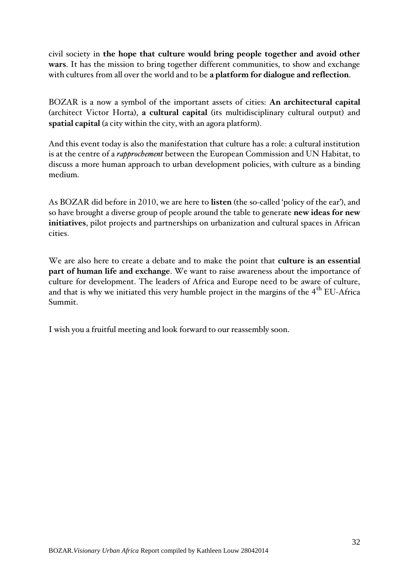civil society in **the hope that culture would bring people together and avoid other wars**. It has the mission to bring together different communities, to show and exchange with cultures from all over the world and to be **a platform for dialogue and reflection**.

BOZAR is a now a symbol of the important assets of cities: **An architectural capital**  (architect Victor Horta), **a cultural capital** (its multidisciplinary cultural output) and **spatial capital** (a city within the city, with an agora platform).

And this event today is also the manifestation that culture has a role: a cultural institution is at the centre of a *rapprochement* between the European Commission and UN Habitat, to discuss a more human approach to urban development policies, with culture as a binding medium.

As BOZAR did before in 2010, we are here to **listen** (the so-called 'policy of the ear'), and so have brought a diverse group of people around the table to generate **new ideas for new initiatives**, pilot projects and partnerships on urbanization and cultural spaces in African cities.

We are also here to create a debate and to make the point that **culture is an essential part of human life and exchange**. We want to raise awareness about the importance of culture for development. The leaders of Africa and Europe need to be aware of culture, and that is why we initiated this very humble project in the margins of the  $4<sup>th</sup> EU-Africa$ Summit.

I wish you a fruitful meeting and look forward to our reassembly soon.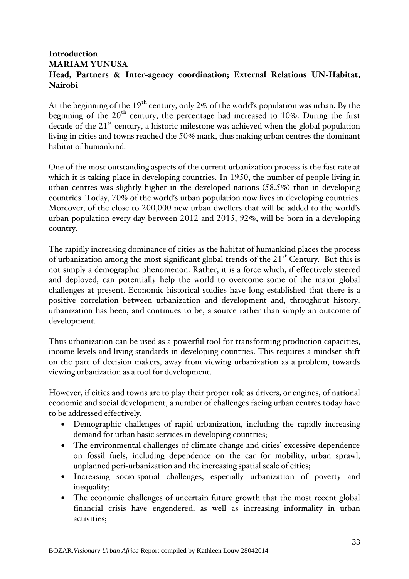### **Introduction MARIAM YUNUSA Head, Partners & Inter-agency coordination; External Relations UN-Habitat, Nairobi**

At the beginning of the  $19<sup>th</sup>$  century, only 2% of the world's population was urban. By the beginning of the  $20<sup>th</sup>$  century, the percentage had increased to 10%. During the first decade of the 21st century, a historic milestone was achieved when the global population living in cities and towns reached the 50% mark, thus making urban centres the dominant habitat of humankind.

One of the most outstanding aspects of the current urbanization process is the fast rate at which it is taking place in developing countries. In 1950, the number of people living in urban centres was slightly higher in the developed nations (58.5%) than in developing countries. Today, 70% of the world's urban population now lives in developing countries. Moreover, of the close to 200,000 new urban dwellers that will be added to the world's urban population every day between 2012 and 2015, 92%, will be born in a developing country.

The rapidly increasing dominance of cities as the habitat of humankind places the process of urbanization among the most significant global trends of the 21<sup>st</sup> Century. But this is not simply a demographic phenomenon. Rather, it is a force which, if effectively steered and deployed, can potentially help the world to overcome some of the major global challenges at present. Economic historical studies have long established that there is a positive correlation between urbanization and development and, throughout history, urbanization has been, and continues to be, a source rather than simply an outcome of development.

Thus urbanization can be used as a powerful tool for transforming production capacities, income levels and living standards in developing countries. This requires a mindset shift on the part of decision makers, away from viewing urbanization as a problem, towards viewing urbanization as a tool for development.

However, if cities and towns are to play their proper role as drivers, or engines, of national economic and social development, a number of challenges facing urban centres today have to be addressed effectively.

- Demographic challenges of rapid urbanization, including the rapidly increasing demand for urban basic services in developing countries;
- The environmental challenges of climate change and cities' excessive dependence on fossil fuels, including dependence on the car for mobility, urban sprawl, unplanned peri-urbanization and the increasing spatial scale of cities;
- Increasing socio-spatial challenges, especially urbanization of poverty and inequality;
- The economic challenges of uncertain future growth that the most recent global financial crisis have engendered, as well as increasing informality in urban activities;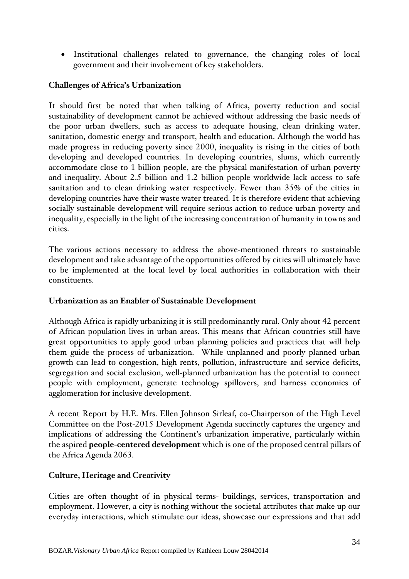Institutional challenges related to governance, the changing roles of local government and their involvement of key stakeholders.

### **Challenges of Africa's Urbanization**

It should first be noted that when talking of Africa, poverty reduction and social sustainability of development cannot be achieved without addressing the basic needs of the poor urban dwellers, such as access to adequate housing, clean drinking water, sanitation, domestic energy and transport, health and education. Although the world has made progress in reducing poverty since 2000, inequality is rising in the cities of both developing and developed countries. In developing countries, slums, which currently accommodate close to 1 billion people, are the physical manifestation of urban poverty and inequality. About 2.5 billion and 1.2 billion people worldwide lack access to safe sanitation and to clean drinking water respectively. Fewer than 35% of the cities in developing countries have their waste water treated. It is therefore evident that achieving socially sustainable development will require serious action to reduce urban poverty and inequality, especially in the light of the increasing concentration of humanity in towns and cities.

The various actions necessary to address the above-mentioned threats to sustainable development and take advantage of the opportunities offered by cities will ultimately have to be implemented at the local level by local authorities in collaboration with their constituents.

### **Urbanization as an Enabler of Sustainable Development**

Although Africa is rapidly urbanizing it is still predominantly rural. Only about 42 percent of African population lives in urban areas. This means that African countries still have great opportunities to apply good urban planning policies and practices that will help them guide the process of urbanization. While unplanned and poorly planned urban growth can lead to congestion, high rents, pollution, infrastructure and service deficits, segregation and social exclusion, well-planned urbanization has the potential to connect people with employment, generate technology spillovers, and harness economies of agglomeration for inclusive development.

A recent Report by H.E. Mrs. Ellen Johnson Sirleaf, co-Chairperson of the High Level Committee on the Post-2015 Development Agenda succinctly captures the urgency and implications of addressing the Continent's urbanization imperative, particularly within the aspired **people-centered development** which is one of the proposed central pillars of the Africa Agenda 2063.

## **Culture, Heritage and Creativity**

Cities are often thought of in physical terms- buildings, services, transportation and employment. However, a city is nothing without the societal attributes that make up our everyday interactions, which stimulate our ideas, showcase our expressions and that add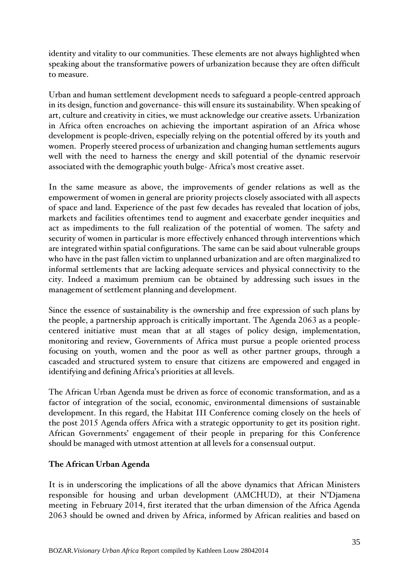identity and vitality to our communities. These elements are not always highlighted when speaking about the transformative powers of urbanization because they are often difficult to measure.

Urban and human settlement development needs to safeguard a people-centred approach in its design, function and governance- this will ensure its sustainability. When speaking of art, culture and creativity in cities, we must acknowledge our creative assets. Urbanization in Africa often encroaches on achieving the important aspiration of an Africa whose development is people-driven, especially relying on the potential offered by its youth and women. Properly steered process of urbanization and changing human settlements augurs well with the need to harness the energy and skill potential of the dynamic reservoir associated with the demographic youth bulge- Africa's most creative asset.

In the same measure as above, the improvements of gender relations as well as the empowerment of women in general are priority projects closely associated with all aspects of space and land. Experience of the past few decades has revealed that location of jobs, markets and facilities oftentimes tend to augment and exacerbate gender inequities and act as impediments to the full realization of the potential of women. The safety and security of women in particular is more effectively enhanced through interventions which are integrated within spatial configurations. The same can be said about vulnerable groups who have in the past fallen victim to unplanned urbanization and are often marginalized to informal settlements that are lacking adequate services and physical connectivity to the city. Indeed a maximum premium can be obtained by addressing such issues in the management of settlement planning and development.

Since the essence of sustainability is the ownership and free expression of such plans by the people, a partnership approach is critically important. The Agenda 2063 as a peoplecentered initiative must mean that at all stages of policy design, implementation, monitoring and review, Governments of Africa must pursue a people oriented process focusing on youth, women and the poor as well as other partner groups, through a cascaded and structured system to ensure that citizens are empowered and engaged in identifying and defining Africa's priorities at all levels.

The African Urban Agenda must be driven as force of economic transformation, and as a factor of integration of the social, economic, environmental dimensions of sustainable development. In this regard, the Habitat III Conference coming closely on the heels of the post 2015 Agenda offers Africa with a strategic opportunity to get its position right. African Governments' engagement of their people in preparing for this Conference should be managed with utmost attention at all levels for a consensual output.

### **The African Urban Agenda**

It is in underscoring the implications of all the above dynamics that African Ministers responsible for housing and urban development (AMCHUD), at their N'Djamena meeting in February 2014, first iterated that the urban dimension of the Africa Agenda 2063 should be owned and driven by Africa, informed by African realities and based on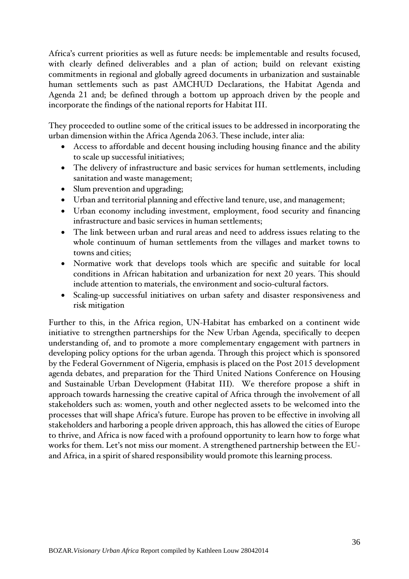Africa's current priorities as well as future needs: be implementable and results focused, with clearly defined deliverables and a plan of action; build on relevant existing commitments in regional and globally agreed documents in urbanization and sustainable human settlements such as past AMCHUD Declarations, the Habitat Agenda and Agenda 21 and; be defined through a bottom up approach driven by the people and incorporate the findings of the national reports for Habitat III.

They proceeded to outline some of the critical issues to be addressed in incorporating the urban dimension within the Africa Agenda 2063. These include, inter alia:

- Access to affordable and decent housing including housing finance and the ability to scale up successful initiatives;
- The delivery of infrastructure and basic services for human settlements, including sanitation and waste management;
- Slum prevention and upgrading;
- Urban and territorial planning and effective land tenure, use, and management;
- Urban economy including investment, employment, food security and financing infrastructure and basic services in human settlements;
- The link between urban and rural areas and need to address issues relating to the whole continuum of human settlements from the villages and market towns to towns and cities;
- Normative work that develops tools which are specific and suitable for local conditions in African habitation and urbanization for next 20 years. This should include attention to materials, the environment and socio-cultural factors.
- Scaling-up successful initiatives on urban safety and disaster responsiveness and risk mitigation

Further to this, in the Africa region, UN-Habitat has embarked on a continent wide initiative to strengthen partnerships for the New Urban Agenda, specifically to deepen understanding of, and to promote a more complementary engagement with partners in developing policy options for the urban agenda. Through this project which is sponsored by the Federal Government of Nigeria, emphasis is placed on the Post 2015 development agenda debates, and preparation for the Third United Nations Conference on Housing and Sustainable Urban Development (Habitat III). We therefore propose a shift in approach towards harnessing the creative capital of Africa through the involvement of all stakeholders such as: women, youth and other neglected assets to be welcomed into the processes that will shape Africa's future. Europe has proven to be effective in involving all stakeholders and harboring a people driven approach, this has allowed the cities of Europe to thrive, and Africa is now faced with a profound opportunity to learn how to forge what works for them. Let's not miss our moment. A strengthened partnership between the EUand Africa, in a spirit of shared responsibility would promote this learning process.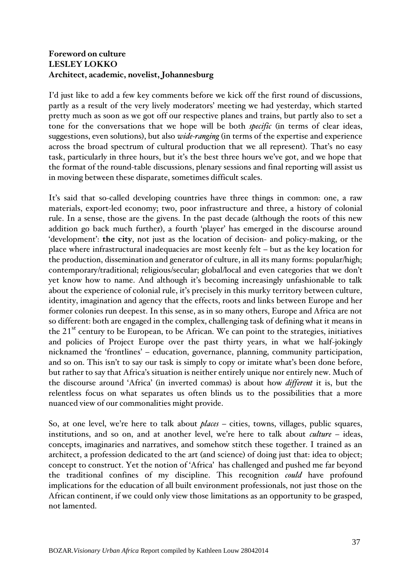### **Foreword on culture LESLEY LOKKO Architect, academic, novelist, Johannesburg**

I'd just like to add a few key comments before we kick off the first round of discussions, partly as a result of the very lively moderators' meeting we had yesterday, which started pretty much as soon as we got off our respective planes and trains, but partly also to set a tone for the conversations that we hope will be both *specific* (in terms of clear ideas, suggestions, even solutions), but also *wide-ranging* (in terms of the expertise and experience across the broad spectrum of cultural production that we all represent). That's no easy task, particularly in three hours, but it's the best three hours we've got, and we hope that the format of the round-table discussions, plenary sessions and final reporting will assist us in moving between these disparate, sometimes difficult scales.

It's said that so-called developing countries have three things in common: one, a raw materials, export-led economy; two, poor infrastructure and three, a history of colonial rule. In a sense, those are the givens. In the past decade (although the roots of this new addition go back much further), a fourth 'player' has emerged in the discourse around 'development': **the city**, not just as the location of decision- and policy-making, or the place where infrastructural inadequacies are most keenly felt – but as the key location for the production, dissemination and generator of culture, in all its many forms: popular/high; contemporary/traditional; religious/secular; global/local and even categories that we don't yet know how to name. And although it's becoming increasingly unfashionable to talk about the experience of colonial rule, it's precisely in this murky territory between culture, identity, imagination and agency that the effects, roots and links between Europe and her former colonies run deepest. In this sense, as in so many others, Europe and Africa are not so different: both are engaged in the complex, challenging task of defining what it means in the  $21<sup>st</sup>$  century to be European, to be African. We can point to the strategies, initiatives and policies of Project Europe over the past thirty years, in what we half-jokingly nicknamed the 'frontlines' – education, governance, planning, community participation, and so on. This isn't to say our task is simply to copy or imitate what's been done before, but rather to say that Africa's situation is neither entirely unique nor entirely new. Much of the discourse around 'Africa' (in inverted commas) is about how *different* it is, but the relentless focus on what separates us often blinds us to the possibilities that a more nuanced view of our commonalities might provide.

So, at one level, we're here to talk about *places* – cities, towns, villages, public squares, institutions, and so on, and at another level, we're here to talk about *culture* – ideas, concepts, imaginaries and narratives, and somehow stitch these together. I trained as an architect, a profession dedicated to the art (and science) of doing just that: idea to object; concept to construct. Yet the notion of 'Africa' has challenged and pushed me far beyond the traditional confines of my discipline. This recognition *could* have profound implications for the education of all built environment professionals, not just those on the African continent, if we could only view those limitations as an opportunity to be grasped, not lamented.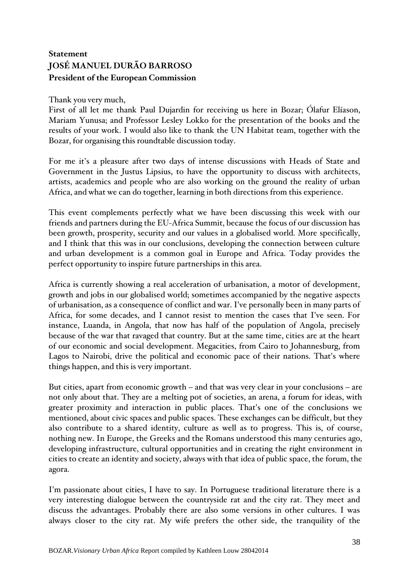## **Statement JOSÉ MANUEL DURÃO BARROSO President of the European Commission**

Thank you very much,

First of all let me thank Paul Dujardin for receiving us here in Bozar; Ólafur Elíason, Mariam Yunusa; and Professor Lesley Lokko for the presentation of the books and the results of your work. I would also like to thank the UN Habitat team, together with the Bozar, for organising this roundtable discussion today.

For me it's a pleasure after two days of intense discussions with Heads of State and Government in the Justus Lipsius, to have the opportunity to discuss with architects, artists, academics and people who are also working on the ground the reality of urban Africa, and what we can do together, learning in both directions from this experience.

This event complements perfectly what we have been discussing this week with our friends and partners during the EU-Africa Summit, because the focus of our discussion has been growth, prosperity, security and our values in a globalised world. More specifically, and I think that this was in our conclusions, developing the connection between culture and urban development is a common goal in Europe and Africa. Today provides the perfect opportunity to inspire future partnerships in this area.

Africa is currently showing a real acceleration of urbanisation, a motor of development, growth and jobs in our globalised world; sometimes accompanied by the negative aspects of urbanisation, as a consequence of conflict and war. I've personally been in many parts of Africa, for some decades, and I cannot resist to mention the cases that I've seen. For instance, Luanda, in Angola, that now has half of the population of Angola, precisely because of the war that ravaged that country. But at the same time, cities are at the heart of our economic and social development. Megacities, from Cairo to Johannesburg, from Lagos to Nairobi, drive the political and economic pace of their nations. That's where things happen, and this is very important.

But cities, apart from economic growth – and that was very clear in your conclusions – are not only about that. They are a melting pot of societies, an arena, a forum for ideas, with greater proximity and interaction in public places. That's one of the conclusions we mentioned, about civic spaces and public spaces. These exchanges can be difficult, but they also contribute to a shared identity, culture as well as to progress. This is, of course, nothing new. In Europe, the Greeks and the Romans understood this many centuries ago, developing infrastructure, cultural opportunities and in creating the right environment in cities to create an identity and society, always with that idea of public space, the forum, the agora.

I'm passionate about cities, I have to say. In Portuguese traditional literature there is a very interesting dialogue between the countryside rat and the city rat. They meet and discuss the advantages. Probably there are also some versions in other cultures. I was always closer to the city rat. My wife prefers the other side, the tranquility of the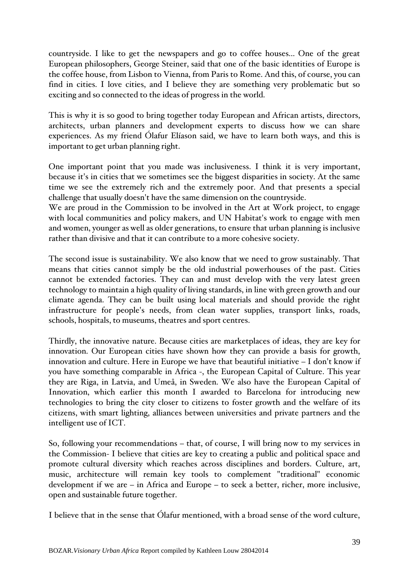countryside. I like to get the newspapers and go to coffee houses... One of the great European philosophers, George Steiner, said that one of the basic identities of Europe is the coffee house, from Lisbon to Vienna, from Paris to Rome. And this, of course, you can find in cities. I love cities, and I believe they are something very problematic but so exciting and so connected to the ideas of progress in the world.

This is why it is so good to bring together today European and African artists, directors, architects, urban planners and development experts to discuss how we can share experiences. As my friend Ólafur Elíason said, we have to learn both ways, and this is important to get urban planning right.

One important point that you made was inclusiveness. I think it is very important, because it's in cities that we sometimes see the biggest disparities in society. At the same time we see the extremely rich and the extremely poor. And that presents a special challenge that usually doesn't have the same dimension on the countryside.

We are proud in the Commission to be involved in the Art at Work project, to engage with local communities and policy makers, and UN Habitat's work to engage with men and women, younger as well as older generations, to ensure that urban planning is inclusive rather than divisive and that it can contribute to a more cohesive society.

The second issue is sustainability. We also know that we need to grow sustainably. That means that cities cannot simply be the old industrial powerhouses of the past. Cities cannot be extended factories. They can and must develop with the very latest green technology to maintain a high quality of living standards, in line with green growth and our climate agenda. They can be built using local materials and should provide the right infrastructure for people's needs, from clean water supplies, transport links, roads, schools, hospitals, to museums, theatres and sport centres.

Thirdly, the innovative nature. Because cities are marketplaces of ideas, they are key for innovation. Our European cities have shown how they can provide a basis for growth, innovation and culture. Here in Europe we have that beautiful initiative – I don't know if you have something comparable in Africa -, the European Capital of Culture. This year they are Riga, in Latvia, and Umeå, in Sweden. We also have the European Capital of Innovation, which earlier this month I awarded to Barcelona for introducing new technologies to bring the city closer to citizens to foster growth and the welfare of its citizens, with smart lighting, alliances between universities and private partners and the intelligent use of ICT.

So, following your recommendations – that, of course, I will bring now to my services in the Commission- I believe that cities are key to creating a public and political space and promote cultural diversity which reaches across disciplines and borders. Culture, art, music, architecture will remain key tools to complement "traditional" economic development if we are – in Africa and Europe – to seek a better, richer, more inclusive, open and sustainable future together.

I believe that in the sense that Ólafur mentioned, with a broad sense of the word culture,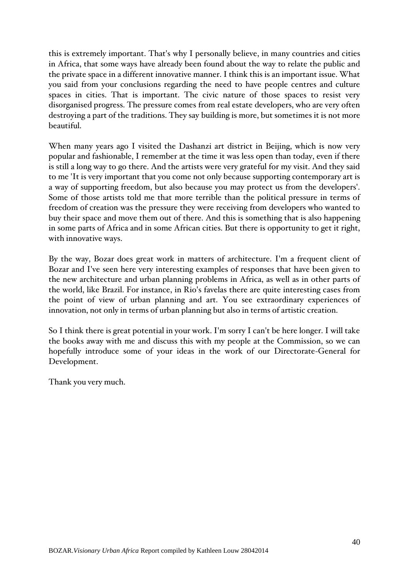this is extremely important. That's why I personally believe, in many countries and cities in Africa, that some ways have already been found about the way to relate the public and the private space in a different innovative manner. I think this is an important issue. What you said from your conclusions regarding the need to have people centres and culture spaces in cities. That is important. The civic nature of those spaces to resist very disorganised progress. The pressure comes from real estate developers, who are very often destroying a part of the traditions. They say building is more, but sometimes it is not more beautiful.

When many years ago I visited the Dashanzi art district in Beijing, which is now very popular and fashionable, I remember at the time it was less open than today, even if there is still a long way to go there. And the artists were very grateful for my visit. And they said to me 'It is very important that you come not only because supporting contemporary art is a way of supporting freedom, but also because you may protect us from the developers'. Some of those artists told me that more terrible than the political pressure in terms of freedom of creation was the pressure they were receiving from developers who wanted to buy their space and move them out of there. And this is something that is also happening in some parts of Africa and in some African cities. But there is opportunity to get it right, with innovative ways.

By the way, Bozar does great work in matters of architecture. I'm a frequent client of Bozar and I've seen here very interesting examples of responses that have been given to the new architecture and urban planning problems in Africa, as well as in other parts of the world, like Brazil. For instance, in Rio's favelas there are quite interesting cases from the point of view of urban planning and art. You see extraordinary experiences of innovation, not only in terms of urban planning but also in terms of artistic creation.

So I think there is great potential in your work. I'm sorry I can't be here longer. I will take the books away with me and discuss this with my people at the Commission, so we can hopefully introduce some of your ideas in the work of our Directorate-General for Development.

Thank you very much.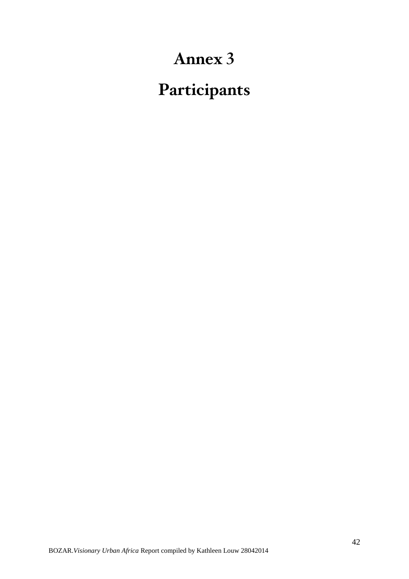# **Annex 3**

# **Participants**

BOZAR.*Visionary Urban Africa* Report compiled by Kathleen Louw 28042014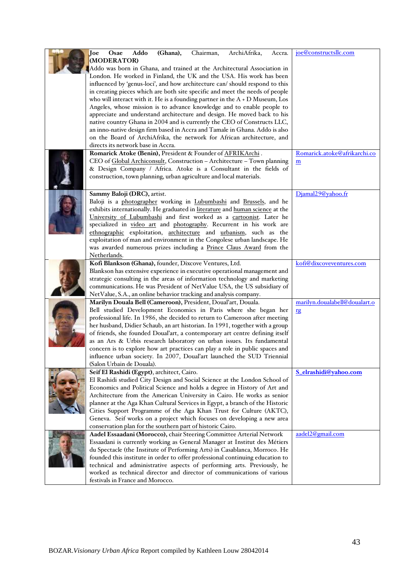| Osae<br>Addo<br>(Ghana),<br>Chairman,<br>ArchiAfrika,<br>Joe<br>Accra.         | joe@constructsllc.com         |
|--------------------------------------------------------------------------------|-------------------------------|
| (MODERATOR)                                                                    |                               |
| Addo was born in Ghana, and trained at the Architectural Association in        |                               |
| London. He worked in Finland, the UK and the USA. His work has been            |                               |
| influenced by 'genus-loci', and how architecture can/ should respond to this   |                               |
| in creating pieces which are both site specific and meet the needs of people   |                               |
| who will interact with it. He is a founding partner in the $A + D$ Museum, Los |                               |
| Angeles, whose mission is to advance knowledge and to enable people to         |                               |
| appreciate and understand architecture and design. He moved back to his        |                               |
| native country Ghana in 2004 and is currently the CEO of Constructs LLC,       |                               |
| an inno-native design firm based in Accra and Tamale in Ghana. Addo is also    |                               |
| on the Board of ArchiAfrika, the network for African architecture, and         |                               |
| directs its network base in Accra.                                             |                               |
| Romarick Atoke (Benin), President & Founder of AFRIKArchi.                     | Romarick.atoke@afrikarchi.co  |
| CEO of Global Archiconsult, Construction - Architecture - Town planning        | m                             |
| & Design Company / Africa. Atoke is a Consultant in the fields of              |                               |
| construction, town planning, urban agriculture and local materials.            |                               |
|                                                                                |                               |
| Sammy Baloji (DRC), artist.                                                    | Djamal29@yahoo.fr             |
| Baloji is a photographer working in Lubumbashi and Brussels, and he            |                               |
| exhibits internationally. He graduated in literature and human science at the  |                               |
| University of Lubumbashi and first worked as a cartoonist. Later he            |                               |
| specialized in video art and photography. Recurrent in his work are            |                               |
| ethnographic exploitation, architecture and urbanism, such as the              |                               |
| exploitation of man and environment in the Congolese urban landscape. He       |                               |
| was awarded numerous prizes including a Prince Claus Award from the            |                               |
| <u>Netherlands</u> .                                                           |                               |
| Kofi Blankson (Ghana), founder, Dixcove Ventures, Ltd.                         | kofi@dixcoveventures.com      |
| Blankson has extensive experience in executive operational management and      |                               |
| strategic consulting in the areas of information technology and marketing      |                               |
| communications. He was President of NetValue USA, the US subsidiary of         |                               |
| NetValue, S.A., an online behavior tracking and analysis company.              |                               |
| Marilyn Douala Bell (Cameroon), President, Doual'art, Douala.                  | marilyn.doualabell@doualart.o |
| Bell studied Development Economics in Paris where she began her                | rg                            |
| professional life. In 1986, she decided to return to Cameroon after meeting    |                               |
| her husband, Didier Schaub, an art historian. In 1991, together with a group   |                               |
| of friends, she founded Doual'art, a contemporary art centre defining itself   |                               |
| as an Ars & Urbis research laboratory on urban issues. Its fundamental         |                               |
| concern is to explore how art practices can play a role in public spaces and   |                               |
| influence urban society. In 2007, Doual'art launched the SUD Triennial         |                               |
| (Salon Urbain de Douala).                                                      |                               |
| Seif El Rashidi (Egypt), architect, Cairo.                                     | S_elrashidi@yahoo.com         |
| El Rashidi studied City Design and Social Science at the London School of      |                               |
| Economics and Political Science and holds a degree in History of Art and       |                               |
| Architecture from the American University in Cairo. He works as senior         |                               |
| planner at the Aga Khan Cultural Services in Egypt, a branch of the Historic   |                               |
| Cities Support Programme of the Aga Khan Trust for Culture (AKTC),             |                               |
| Geneva. Seif works on a project which focuses on developing a new area         |                               |
| conservation plan for the southern part of historic Cairo.                     |                               |
| Aadel Essaadani (Morocco), chair Steering Committee Arterial Network           | aadel2@gmail.com              |
| Essaadani is currently working as General Manager at Institut des Métiers      |                               |
| du Spectacle (the Institute of Performing Arts) in Casablanca, Morroco. He     |                               |
| founded this institute in order to offer professional continuing education to  |                               |
| technical and administrative aspects of performing arts. Previously, he        |                               |
| worked as technical director and director of communications of various         |                               |
| festivals in France and Morocco.                                               |                               |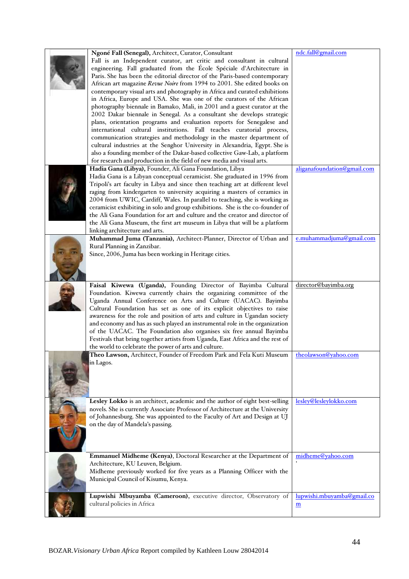| Ngoné Fall (Senegal), Architect, Curator, Consultant                                        | ndc.fall@gmail.com          |
|---------------------------------------------------------------------------------------------|-----------------------------|
| Fall is an Independent curator, art critic and consultant in cultural                       |                             |
| engineering. Fall graduated from the École Spéciale d'Architecture in                       |                             |
| Paris. She has been the editorial director of the Paris-based contemporary                  |                             |
| African art magazine Revue Noire from 1994 to 2001. She edited books on                     |                             |
| contemporary visual arts and photography in Africa and curated exhibitions                  |                             |
| in Africa, Europe and USA. She was one of the curators of the African                       |                             |
| photography biennale in Bamako, Mali, in 2001 and a guest curator at the                    |                             |
| 2002 Dakar biennale in Senegal. As a consultant she develops strategic                      |                             |
| plans, orientation programs and evaluation reports for Senegalese and                       |                             |
| international cultural institutions. Fall teaches curatorial process,                       |                             |
| communication strategies and methodology in the master department of                        |                             |
| cultural industries at the Senghor University in Alexandria, Egypt. She is                  |                             |
| also a founding member of the Dakar-based collective Gaw-Lab, a platform                    |                             |
| for research and production in the field of new media and visual arts.                      |                             |
| Hadia Gana (Libya), Founder, Ali Gana Foundation, Libya                                     | aliganafoundation@gmail.com |
| Hadia Gana is a Libyan conceptual ceramicist. She graduated in 1996 from                    |                             |
| Tripoli's art faculty in Libya and since then teaching art at different level               |                             |
| raging from kindergarten to university acquiring a masters of ceramics in                   |                             |
| 2004 from UWIC, Cardiff, Wales. In parallel to teaching, she is working as                  |                             |
| ceramicist exhibiting in solo and group exhibitions. She is the co-founder of               |                             |
| the Ali Gana Foundation for art and culture and the creator and director of                 |                             |
| the Ali Gana Museum, the first art museum in Libya that will be a platform                  |                             |
| linking architecture and arts.                                                              |                             |
| Muhammad Juma (Tanzania), Architect-Planner, Director of Urban and                          | e.muhammadjuma@gmail.com    |
| Rural Planning in Zanzibar.                                                                 |                             |
| Since, 2006, Juma has been working in Heritage cities.                                      |                             |
|                                                                                             |                             |
|                                                                                             |                             |
|                                                                                             |                             |
|                                                                                             |                             |
|                                                                                             |                             |
| Faisal Kiwewa (Uganda), Founding Director of Bayimba Cultural                               | director@bayimba.org        |
| Foundation. Kiwewa currently chairs the organizing committee of the                         |                             |
| Uganda Annual Conference on Arts and Culture (UACAC). Bayimba                               |                             |
| Cultural Foundation has set as one of its explicit objectives to raise                      |                             |
| awareness for the role and position of arts and culture in Ugandan society                  |                             |
| and economy and has as such played an instrumental role in the organization                 |                             |
| of the UACAC. The Foundation also organises six free annual Bayimba                         |                             |
| Festivals that bring together artists from Uganda, East Africa and the rest of              |                             |
| the world to celebrate the power of arts and culture.                                       |                             |
| Theo Lawson, Architect, Founder of Freedom Park and Fela Kuti Museum   theolawson@yahoo.com |                             |
| in Lagos.                                                                                   |                             |
|                                                                                             |                             |
|                                                                                             |                             |
|                                                                                             |                             |
|                                                                                             |                             |
| Lesley Lokko is an architect, academic and the author of eight best-selling                 | lesley@lesleylokko.com      |
| novels. She is currently Associate Professor of Architecture at the University              |                             |
| of Johannesburg. She was appointed to the Faculty of Art and Design at UJ                   |                             |
| on the day of Mandela's passing.                                                            |                             |
|                                                                                             |                             |
|                                                                                             |                             |
| Emmanuel Midheme (Kenya), Doctoral Researcher at the Department of                          | midheme@yahoo.com           |
| Architecture, KU Leuven, Belgium.                                                           |                             |
| Midheme previously worked for five years as a Planning Officer with the                     |                             |
| Municipal Council of Kisumu, Kenya.                                                         |                             |
|                                                                                             |                             |
| Lupwishi Mbuyamba (Cameroon), executive director, Observatory of                            | lupwishi.mbuyamba@gmail.co  |
| cultural policies in Africa                                                                 | $\underline{\mathbf{m}}$    |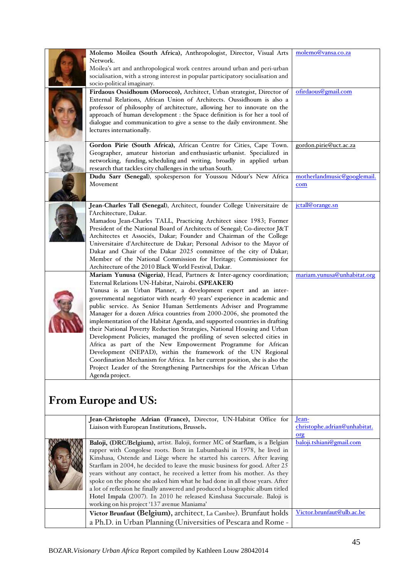|                            | Molemo Moilea (South Africa), Anthropologist, Director, Visual Arts<br>Network.<br>Moilea's art and anthropological work centres around urban and peri-urban<br>socialisation, with a strong interest in popular participatory socialisation and<br>socio-political imaginary.                                                                                                                                                                                                                                                                                                                                                                                                                                                                                                                                                                                                                                                                                      | molemo@vansa.co.za                           |
|----------------------------|---------------------------------------------------------------------------------------------------------------------------------------------------------------------------------------------------------------------------------------------------------------------------------------------------------------------------------------------------------------------------------------------------------------------------------------------------------------------------------------------------------------------------------------------------------------------------------------------------------------------------------------------------------------------------------------------------------------------------------------------------------------------------------------------------------------------------------------------------------------------------------------------------------------------------------------------------------------------|----------------------------------------------|
|                            | Firdaous Ossidhoum (Morocco), Architect, Urban strategist, Director of<br>External Relations, African Union of Architects. Oussidhoum is also a<br>professor of philosophy of architecture, allowing her to innovate on the<br>approach of human development : the Space definition is for her a tool of<br>dialogue and communication to give a sense to the daily environment. She<br>lectures internationally.                                                                                                                                                                                                                                                                                                                                                                                                                                                                                                                                                   | ofirdaous@gmail.com                          |
|                            | Gordon Pirie (South Africa), African Centre for Cities, Cape Town.<br>Geographer, amateur historian and enthusiastic urbanist. Specialized in<br>networking, funding, scheduling and writing, broadly in applied urban<br>research that tackles city challenges in the urban South.                                                                                                                                                                                                                                                                                                                                                                                                                                                                                                                                                                                                                                                                                 | gordon.pirie@uct.ac.za                       |
|                            | Dudu Sarr (Senegal), spokesperson for Youssou Ndour's New Africa<br>Movement                                                                                                                                                                                                                                                                                                                                                                                                                                                                                                                                                                                                                                                                                                                                                                                                                                                                                        | motherlandmusic@googlemail.<br>com           |
|                            | Jean-Charles Tall (Senegal), Architect, founder College Universitaire de<br>l'Architecture, Dakar.<br>Mamadou Jean-Charles TALL, Practicing Architect since 1983; Former<br>President of the National Board of Architects of Senegal; Co-director J&T<br>Architectes et Associés, Dakar; Founder and Chairman of the College<br>Universitaire d'Architecture de Dakar; Personal Advisor to the Mayor of<br>Dakar and Chair of the Dakar 2025 committee of the city of Dakar;<br>Member of the National Commission for Heritage; Commissioner for<br>Architecture of the 2010 Black World Festival, Dakar.                                                                                                                                                                                                                                                                                                                                                           | jctall@orange.sn                             |
|                            | Mariam Yunusa (Nigeria), Head, Partners & Inter-agency coordination;<br>External Relations UN-Habitat, Nairobi. (SPEAKER)<br>Yunusa is an Urban Planner, a development expert and an inter-<br>governmental negotiator with nearly 40 years' experience in academic and<br>public service. As Senior Human Settlements Adviser and Programme<br>Manager for a dozen Africa countries from 2000-2006, she promoted the<br>implementation of the Habitat Agenda, and supported countries in drafting<br>their National Poverty Reduction Strategies, National Housing and Urban<br>Development Policies, managed the profiling of seven selected cities in<br>Africa as part of the New Empowerment Programme for African<br>Development (NEPAD), within the framework of the UN Regional<br>Coordination Mechanism for Africa. In her current position, she is also the<br>Project Leader of the Strengthening Partnerships for the African Urban<br>Agenda project. | mariam.yunusa@unhabitat.org                  |
| <b>From Europe and US:</b> |                                                                                                                                                                                                                                                                                                                                                                                                                                                                                                                                                                                                                                                                                                                                                                                                                                                                                                                                                                     |                                              |
|                            | Jean-Christophe Adrian (France), Director, UN-Habitat Office for<br>Liaison with European Institutions, Brussels.                                                                                                                                                                                                                                                                                                                                                                                                                                                                                                                                                                                                                                                                                                                                                                                                                                                   | Jean-<br>christophe.adrian@unhabitat.<br>org |
|                            | Baloji, (DRC/Belgium), artist. Baloji, former MC of Starflam, is a Belgian<br>rapper with Congolese roots. Born in Lubumbashi in 1978, he lived in<br>Kinshasa, Ostende and Liège where he started his careers. After leaving<br>Starflam in 2004, he decided to leave the music business for good. After 25<br>years without any contact, he received a letter from his mother. As they<br>spoke on the phone she asked him what he had done in all those years. After<br>a lot of reflexion he finally answered and produced a biographic album titled<br>Hotel Impala (2007). In 2010 he released Kinshasa Succursale. Baloji is<br>working on his project '137 avenue Maniama'                                                                                                                                                                                                                                                                                  | baloji.tshiani@gmail.com                     |
|                            | Victor Brunfaut (Belgium), architect, La Cambre). Brunfaut holds<br>a Ph.D. in Urban Planning (Universities of Pescara and Rome -                                                                                                                                                                                                                                                                                                                                                                                                                                                                                                                                                                                                                                                                                                                                                                                                                                   | Victor.brunfaut@ulb.ac.be                    |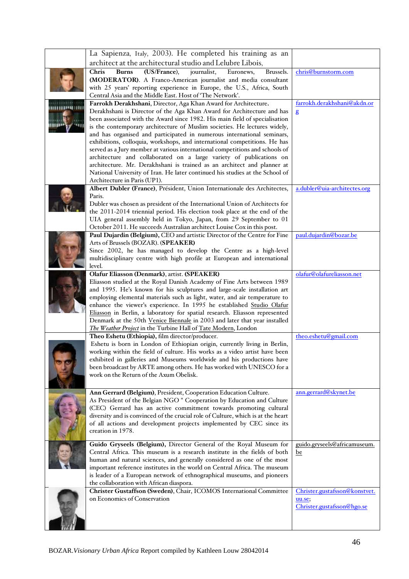| La Sapienza, Italy, 2003). He completed his training as an                                                                                               |                               |
|----------------------------------------------------------------------------------------------------------------------------------------------------------|-------------------------------|
| architect at the architectural studio and Lelubre Libois,                                                                                                |                               |
| (US/France),<br>journalist,<br><b>Chris</b><br><b>Burns</b><br>Euronews,<br>Brussels.                                                                    | chris@burnstorm.com           |
| (MODERATOR). A Franco-American journalist and media consultant                                                                                           |                               |
| with 25 years' reporting experience in Europe, the U.S., Africa, South                                                                                   |                               |
| Central Asia and the Middle East. Host of 'The Network'.                                                                                                 |                               |
| Farrokh Derakhshani, Director, Aga Khan Award for Architecture.                                                                                          | farrokh.derakhshani@akdn.or   |
| Derakhshani is Director of the Aga Khan Award for Architecture and has                                                                                   | g                             |
| been associated with the Award since 1982. His main field of specialisation                                                                              |                               |
| is the contemporary architecture of Muslim societies. He lectures widely,                                                                                |                               |
| and has organised and participated in numerous international seminars,                                                                                   |                               |
| exhibitions, colloquia, workshops, and international competitions. He has                                                                                |                               |
| served as a Jury member at various international competitions and schools of                                                                             |                               |
| architecture and collaborated on a large variety of publications on                                                                                      |                               |
| architecture. Mr. Derakhshani is trained as an architect and planner at                                                                                  |                               |
| National University of Iran. He later continued his studies at the School of                                                                             |                               |
| Architecture in Paris (UP1).<br>Albert Dubler (France), Président, Union Internationale des Architectes,                                                 |                               |
| Paris.                                                                                                                                                   | a.dubler@uia-architectes.org  |
| Dubler was chosen as president of the International Union of Architects for                                                                              |                               |
| the 2011-2014 triennial period. His election took place at the end of the                                                                                |                               |
| UIA general assembly held in Tokyo, Japan, from 29 September to 01                                                                                       |                               |
| October 2011. He succeeds Australian architect Louise Cox in this post.                                                                                  |                               |
| Paul Dujardin (Belgium), CEO and artistic Director of the Centre for Fine                                                                                | paul.dujardin@bozar.be        |
| Arts of Brussels (BOZAR). (SPEAKER)                                                                                                                      |                               |
| Since 2002, he has managed to develop the Centre as a high-level                                                                                         |                               |
| multidisciplinary centre with high profile at European and international                                                                                 |                               |
| level.                                                                                                                                                   |                               |
| Olafur Eliasson (Denmark), artist. (SPEAKER)                                                                                                             | olafur@olafureliasson.net     |
| Eliasson studied at the Royal Danish Academy of Fine Arts between 1989                                                                                   |                               |
| and 1995. He's known for his sculptures and large-scale installation art                                                                                 |                               |
| employing elemental materials such as light, water, and air temperature to<br>enhance the viewer's experience. In 1995 he established Studio Olafur      |                               |
| Eliasson in Berlin, a laboratory for spatial research. Eliasson represented                                                                              |                               |
| Denmark at the 50th Venice Biennale in 2003 and later that year installed                                                                                |                               |
| The Weather Project in the Turbine Hall of Tate Modern, London                                                                                           |                               |
| Theo Eshetu (Ethiopia), film director/producer.                                                                                                          | theo.eshetu@gmail.com         |
| Eshetu is born in London of Ethiopian origin, currently living in Berlin,                                                                                |                               |
| working within the field of culture. His works as a video artist have been                                                                               |                               |
| exhibited in galleries and Museums worldwide and his productions have                                                                                    |                               |
| been broadcast by ARTE among others. He has worked with UNESCO for a                                                                                     |                               |
| work on the Return of the Axum Obelisk.                                                                                                                  |                               |
|                                                                                                                                                          |                               |
| Ann Gerrard (Belgium), President, Cooperation Education Culture.                                                                                         | ann.gerrard@skynet.be         |
| As President of the Belgian NGO " Cooperation by Education and Culture                                                                                   |                               |
| (CEC) Gerrard has an active commitment towards promoting cultural                                                                                        |                               |
| diversity and is convinced of the crucial role of Culture, which is at the heart<br>of all actions and development projects implemented by CEC since its |                               |
| creation in 1978.                                                                                                                                        |                               |
|                                                                                                                                                          |                               |
| Guido Gryseels (Belgium), Director General of the Royal Museum for                                                                                       | guido.gryseels@africamuseum.  |
| Central Africa. This museum is a research institute in the fields of both                                                                                | be                            |
| human and natural sciences, and generally considered as one of the most                                                                                  |                               |
| important reference institutes in the world on Central Africa. The museum                                                                                |                               |
| is leader of a European network of ethnographical museums, and pioneers<br>the collaboration with African diaspora.                                      |                               |
| Christer Gustaffson (Sweden), Chair, ICOMOS International Committee                                                                                      | Christer.gustafsson@konstvet. |
| on Economics of Conservation                                                                                                                             | uu.se;                        |
|                                                                                                                                                          | Christer.gustafsson@hgo.se    |
|                                                                                                                                                          |                               |
|                                                                                                                                                          |                               |
|                                                                                                                                                          |                               |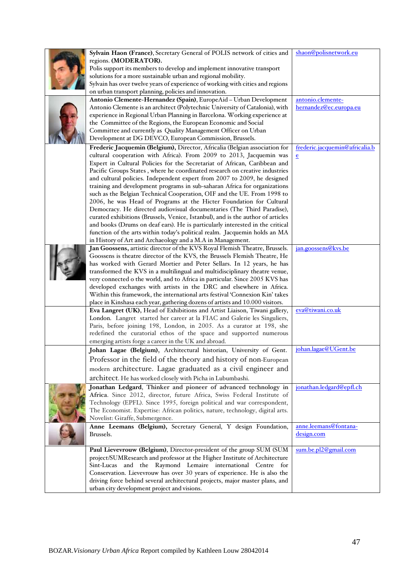| Sylvain Haon (France), Secretary General of POLIS network of cities and                                                                             | shaon@polisnetwork.eu          |
|-----------------------------------------------------------------------------------------------------------------------------------------------------|--------------------------------|
| regions. (MODERATOR).                                                                                                                               |                                |
| Polis support its members to develop and implement innovative transport<br>solutions for a more sustainable urban and regional mobility.            |                                |
| Sylvain has over twelve years of experience of working with cities and regions                                                                      |                                |
| on urban transport planning, policies and innovation.                                                                                               |                                |
| Antonio Clemente-Hernandez (Spain), EuropeAid - Urban Development                                                                                   | antonio.clemente-              |
| Antonio Clemente is an architect (Polytechnic University of Catalonia), with                                                                        | hernandez@ec.europa.eu         |
| experience in Regional Urban Planning in Barcelona. Working experience at                                                                           |                                |
| the Committee of the Regions, the European Economic and Social                                                                                      |                                |
| Committee and currently as Quality Management Officer on Urban                                                                                      |                                |
| Development at DG DEVCO, European Commission, Brussels.                                                                                             |                                |
| Frederic Jacquemin (Belgium), Director, Africalia (Belgian association for                                                                          | frederic.jacquemin@africalia.b |
| cultural cooperation with Africa). From 2009 to 2013, Jacquemin was                                                                                 | $\mathbf{e}$                   |
| Expert in Cultural Policies for the Secretariat of African, Caribbean and                                                                           |                                |
| Pacific Groups States, where he coordinated research on creative industries                                                                         |                                |
| and cultural policies. Independent expert from 2007 to 2009, he designed                                                                            |                                |
| training and development programs in sub-saharan Africa for organizations                                                                           |                                |
| such as the Belgian Technical Cooperation, OIF and the UE. From 1998 to                                                                             |                                |
| 2006, he was Head of Programs at the Hicter Foundation for Cultural                                                                                 |                                |
| Democracy. He directed audiovisual documentaries (The Third Paradise),                                                                              |                                |
| curated exhibitions (Brussels, Venice, Istanbul), and is the author of articles                                                                     |                                |
| and books (Drums on deaf ears). He is particularly interested in the critical                                                                       |                                |
| function of the arts within today's political realm. Jacquemin holds an MA                                                                          |                                |
| in History of Art and Archaeology and a M.A in Management.                                                                                          |                                |
| Jan Goossens, artistic director of the KVS Royal Flemish Theatre, Brussels.                                                                         | jan.goossens@kvs.be            |
| Goossens is theatre director of the KVS, the Brussels Flemish Theatre, He                                                                           |                                |
| has worked with Gerard Mortier and Peter Sellars. In 12 years, he has                                                                               |                                |
| transformed the KVS in a multilingual and multidisciplinary theatre venue,                                                                          |                                |
| very connected o the world, and to Africa in particular. Since 2005 KVS has<br>developed exchanges with artists in the DRC and elsewhere in Africa. |                                |
| Within this framework, the international arts festival 'Connexion Kin' takes                                                                        |                                |
| place in Kinshasa each year, gathering dozens of artists and 10.000 visitors.                                                                       |                                |
| Eva Langret (UK), Head of Exhibitions and Artist Liaison, Tiwani gallery,                                                                           | eva@tiwani.co.uk               |
| London. Langret started her career at la FIAC and Galerie les Singuliers,                                                                           |                                |
| Paris, before joining 198, London, in 2005. As a curator at 198, she                                                                                |                                |
| redefined the curatorial ethos of the space and supported numerous                                                                                  |                                |
| emerging artists forge a career in the UK and abroad.                                                                                               |                                |
| Johan Lagae (Belgium), Architectural historian, University of Gent.                                                                                 | johan.lagae@UGent.be           |
| Professor in the field of the theory and history of non-European                                                                                    |                                |
| modern architecture. Lagae graduated as a civil engineer and                                                                                        |                                |
| architect. He has worked closely with Picha in Lubumbashi.                                                                                          |                                |
| Jonathan Ledgard, Thinker and pioneer of advanced technology in                                                                                     | jonathan.ledgard@epfl.ch       |
| Africa. Since 2012, director, future Africa, Swiss Federal Institute of                                                                             |                                |
| Technology (EPFL). Since 1995, foreign political and war correspondent,                                                                             |                                |
| The Economist. Expertise: African politics, nature, technology, digital arts.                                                                       |                                |
| Novelist: Giraffe, Submergence.                                                                                                                     |                                |
| Anne Leemans (Belgium), Secretary General, Y design Foundation,                                                                                     | anne.leemans@fontana-          |
| Brussels.                                                                                                                                           | design.com                     |
|                                                                                                                                                     |                                |
| Paul Lievevrouw (Belgium), Director-president of the group SUM (SUM                                                                                 | sum.be.pl2@gmail.com           |
| project/SUMResearch and professor at the Higher Institute of Architecture                                                                           |                                |
| Sint-Lucas and the Raymond Lemaire international Centre for                                                                                         |                                |
| Conservation. Lievevrouw has over 30 years of experience. He is also the                                                                            |                                |
| driving force behind several architectural projects, major master plans, and                                                                        |                                |
| urban city development project and visions.                                                                                                         |                                |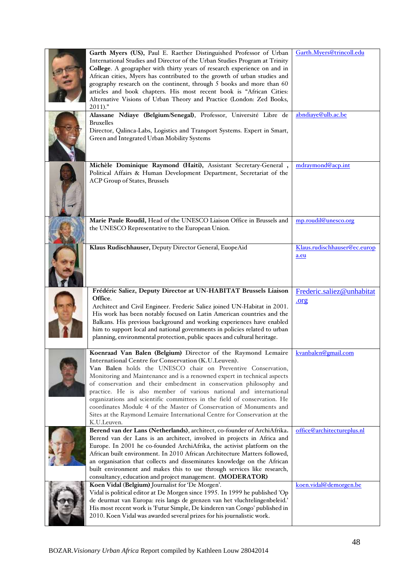| Garth Myers (US), Paul E. Raether Distinguished Professor of Urban<br>International Studies and Director of the Urban Studies Program at Trinity<br>College. A geographer with thirty years of research experience on and in<br>African cities, Myers has contributed to the growth of urban studies and<br>geography research on the continent, through 5 books and more than 60<br>articles and book chapters. His most recent book is "African Cities:<br>Alternative Visions of Urban Theory and Practice (London: Zed Books,<br>$2011$ ."                                                                                                            | Garth.Myers@trincoll.edu                 |
|-----------------------------------------------------------------------------------------------------------------------------------------------------------------------------------------------------------------------------------------------------------------------------------------------------------------------------------------------------------------------------------------------------------------------------------------------------------------------------------------------------------------------------------------------------------------------------------------------------------------------------------------------------------|------------------------------------------|
| Alassane Ndiaye (Belgium/Senegal), Professor, Université Libre de<br>Bruxelles<br>Director, Qalinca-Labs, Logistics and Transport Systems. Expert in Smart,<br>Green and Integrated Urban Mobility Systems                                                                                                                                                                                                                                                                                                                                                                                                                                                | abndiaye@ulb.ac.be                       |
| Michèle Dominique Raymond (Haiti), Assistant Secretary-General,<br>Political Affairs & Human Development Department, Secretariat of the<br>ACP Group of States, Brussels                                                                                                                                                                                                                                                                                                                                                                                                                                                                                  | mdraymond@acp.int                        |
| Marie Paule Roudil, Head of the UNESCO Liaison Office in Brussels and<br>the UNESCO Representative to the European Union.                                                                                                                                                                                                                                                                                                                                                                                                                                                                                                                                 | mp.roudil@unesco.org                     |
| Klaus Rudischhauser, Deputy Director General, EuopeAid                                                                                                                                                                                                                                                                                                                                                                                                                                                                                                                                                                                                    | Klaus.rudischhauser@ec.europ<br>a.eu     |
| Frédéric Saliez, Deputy Director at UN-HABITAT Brussels Liaison<br>Office.<br>Architect and Civil Engineer. Frederic Saliez joined UN-Habitat in 2001.<br>His work has been notably focused on Latin American countries and the<br>Balkans. His previous background and working experiences have enabled<br>him to support local and national governments in policies related to urban<br>planning, environmental protection, public spaces and cultural heritage.                                                                                                                                                                                        | Frederic.saliez@unhabitat<br><u>.org</u> |
| Koenraad Van Balen (Belgium) Director of the Raymond Lemaire<br>International Centre for Conservation (K.U.Leuven).<br>Van Balen holds the UNESCO chair on Preventive Conservation,<br>Monitoring and Maintenance and is a renowned expert in technical aspects<br>of conservation and their embedment in conservation philosophy and<br>practice. He is also member of various national and international<br>organizations and scientific committees in the field of conservation. He<br>coordinates Module 4 of the Master of Conservation of Monuments and<br>Sites at the Raymond Lemaire International Centre for Conservation at the<br>K.U.Leuven. | kvanbalen@gmail.com                      |
| Berend van der Lans (Netherlands), architect, co-founder of ArchiAfrika.<br>Berend van der Lans is an architect, involved in projects in Africa and<br>Europe. In 2001 he co-founded ArchiAfrika, the activist platform on the<br>African built environment. In 2010 African Architecture Matters followed,<br>an organisation that collects and disseminates knowledge on the African<br>built environment and makes this to use through services like research,<br>consultancy, education and project management. (MODERATOR)                                                                                                                           | office@architectureplus.nl               |
| Koen Vidal (Belgium) Journalist for 'De Morgen'.<br>Vidal is political editor at De Morgen since 1995. In 1999 he published 'Op<br>de deurmat van Europa: reis langs de grenzen van het vluchtelingenbeleid.'<br>His most recent work is 'Futur Simple, De kinderen van Congo' published in<br>2010. Koen Vidal was awarded several prizes for his journalistic work.                                                                                                                                                                                                                                                                                     | koen.vidal@demorgen.be                   |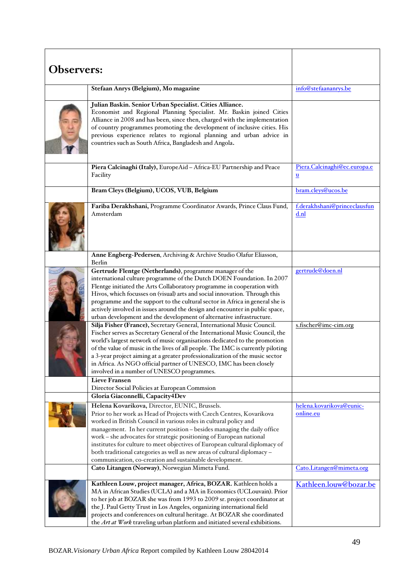| <b>Observers:</b> |                                                                                                                                                                                                                                                                                                                                                                                                                                                                                                                                                                                                        |                                          |
|-------------------|--------------------------------------------------------------------------------------------------------------------------------------------------------------------------------------------------------------------------------------------------------------------------------------------------------------------------------------------------------------------------------------------------------------------------------------------------------------------------------------------------------------------------------------------------------------------------------------------------------|------------------------------------------|
|                   | Stefaan Anrys (Belgium), Mo magazine                                                                                                                                                                                                                                                                                                                                                                                                                                                                                                                                                                   | info@stefaananrys.be                     |
|                   | Julian Baskin. Senior Urban Specialist. Cities Alliance.<br>Economist and Regional Planning Specialist. Mr. Baskin joined Cities<br>Alliance in 2008 and has been, since then, charged with the implementation<br>of country programmes promoting the development of inclusive cities. His<br>previous experience relates to regional planning and urban advice in<br>countries such as South Africa, Bangladesh and Angola.                                                                                                                                                                           |                                          |
|                   | Piera Calcinaghi (Italy), EuropeAid - Africa-EU Partnership and Peace<br>Facility                                                                                                                                                                                                                                                                                                                                                                                                                                                                                                                      | Piera.Calcinaghi@ec.europa.e<br><u>u</u> |
|                   | Bram Cleys (Belgium), UCOS, VUB, Belgium                                                                                                                                                                                                                                                                                                                                                                                                                                                                                                                                                               | bram.cleys@ucos.be                       |
|                   | Fariba Derakhshani, Programme Coordinator Awards, Prince Claus Fund,<br>Amsterdam                                                                                                                                                                                                                                                                                                                                                                                                                                                                                                                      | f.derakhshani@princeclausfun<br>d.n!     |
|                   | Anne Engberg-Pedersen, Archiving & Archive Studio Olafur Eliasson,<br>Berlin                                                                                                                                                                                                                                                                                                                                                                                                                                                                                                                           |                                          |
|                   | Gertrude Flentge (Netherlands), programme manager of the<br>international culture programme of the Dutch DOEN Foundation. In 2007<br>Flentge initiated the Arts Collaboratory programme in cooperation with<br>Hivos, which focusses on (visual) arts and social innovation. Through this<br>programme and the support to the cultural sector in Africa in general she is<br>actively involved in issues around the design and encounter in public space,<br>urban development and the development of alternative infrastructure.                                                                      | gertrude@doen.nl                         |
|                   | Silja Fisher (France), Secretary General, International Music Council.<br>Fischer serves as Secretary General of the International Music Council, the<br>world's largest network of music organisations dedicated to the promotion<br>of the value of music in the lives of all people. The IMC is currently piloting<br>a 3-year project aiming at a greater professionalization of the music sector<br>in Africa. As NGO official partner of UNESCO, IMC has been closely<br>involved in a number of UNESCO programmes.<br><b>Lieve Fransen</b>                                                      | s.fischer@imc-cim.org                    |
|                   | Director Social Policies at European Commsion                                                                                                                                                                                                                                                                                                                                                                                                                                                                                                                                                          |                                          |
|                   | Gloria Giaconnelli, Capacity4Dev<br>Helena Kovarikova, Director, EUNIC, Brussels.<br>Prior to her work as Head of Projects with Czech Centres, Kovarikova<br>worked in British Council in various roles in cultural policy and<br>management. In her current position - besides managing the daily office<br>work - she advocates for strategic positioning of European national<br>institutes for culture to meet objectives of European cultural diplomacy of<br>both traditional categories as well as new areas of cultural diplomacy -<br>communication, co-creation and sustainable development. | helena.kovarikova@eunic-<br>online.eu    |
|                   | Cato Litangen (Norway), Norwegian Mimeta Fund.                                                                                                                                                                                                                                                                                                                                                                                                                                                                                                                                                         | Cato.Litangen@mimeta.org                 |
|                   | Kathleen Louw, project manager, Africa, BOZAR. Kathleen holds a<br>MA in African Studies (UCLA) and a MA in Economics (UCLouvain). Prior<br>to her job at BOZAR she was from 1993 to 2009 sr. project coordinator at<br>the J. Paul Getty Trust in Los Angeles, organizing international field<br>projects and conferences on cultural heritage. At BOZAR she coordinated<br>the Art at Work traveling urban platform and initiated several exhibitions.                                                                                                                                               | Kathleen.louw@bozar.be                   |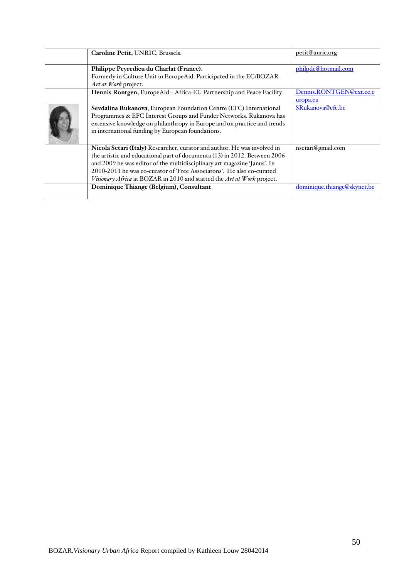| Caroline Petit, UNRIC, Brussels.                                                                                                                                                                                                                                                                                                                                                     | petit@unric.org             |
|--------------------------------------------------------------------------------------------------------------------------------------------------------------------------------------------------------------------------------------------------------------------------------------------------------------------------------------------------------------------------------------|-----------------------------|
| Philippe Peyredieu du Charlat (France).                                                                                                                                                                                                                                                                                                                                              | philpdc@hotmail.com         |
| Formerly in Culture Unit in EuropeAid. Participated in the EC/BOZAR                                                                                                                                                                                                                                                                                                                  |                             |
| Art at Work project.                                                                                                                                                                                                                                                                                                                                                                 |                             |
| Dennis Rontgen, EuropeAid – Africa-EU Partnership and Peace Facility                                                                                                                                                                                                                                                                                                                 | Dennis.RONTGEN@ext.ec.e     |
|                                                                                                                                                                                                                                                                                                                                                                                      | uropa.eu                    |
| Sevdalina Rukanova, European Foundation Centre (EFC) International<br>Programmes & EFC Interest Groups and Funder Networks. Rukanova has<br>extensive knowledge on philanthropy in Europe and on practice and trends<br>in international funding by European foundations.                                                                                                            | SRukanova@efc.be            |
| Nicola Setari (Italy) Researcher, curator and author. He was involved in<br>the artistic and educational part of documenta (13) in 2012. Between 2006<br>and 2009 he was editor of the multidisciplinary art magazine 'Janus'. In<br>2010-2011 he was co-curator of 'Free Associatons'. He also co-curated<br>Visionary Africa at BOZAR in 2010 and started the Art at Work project. | nsetari@gmail.com           |
| Dominique Thiange (Belgium), Consultant                                                                                                                                                                                                                                                                                                                                              | dominique.thiange@skynet.be |